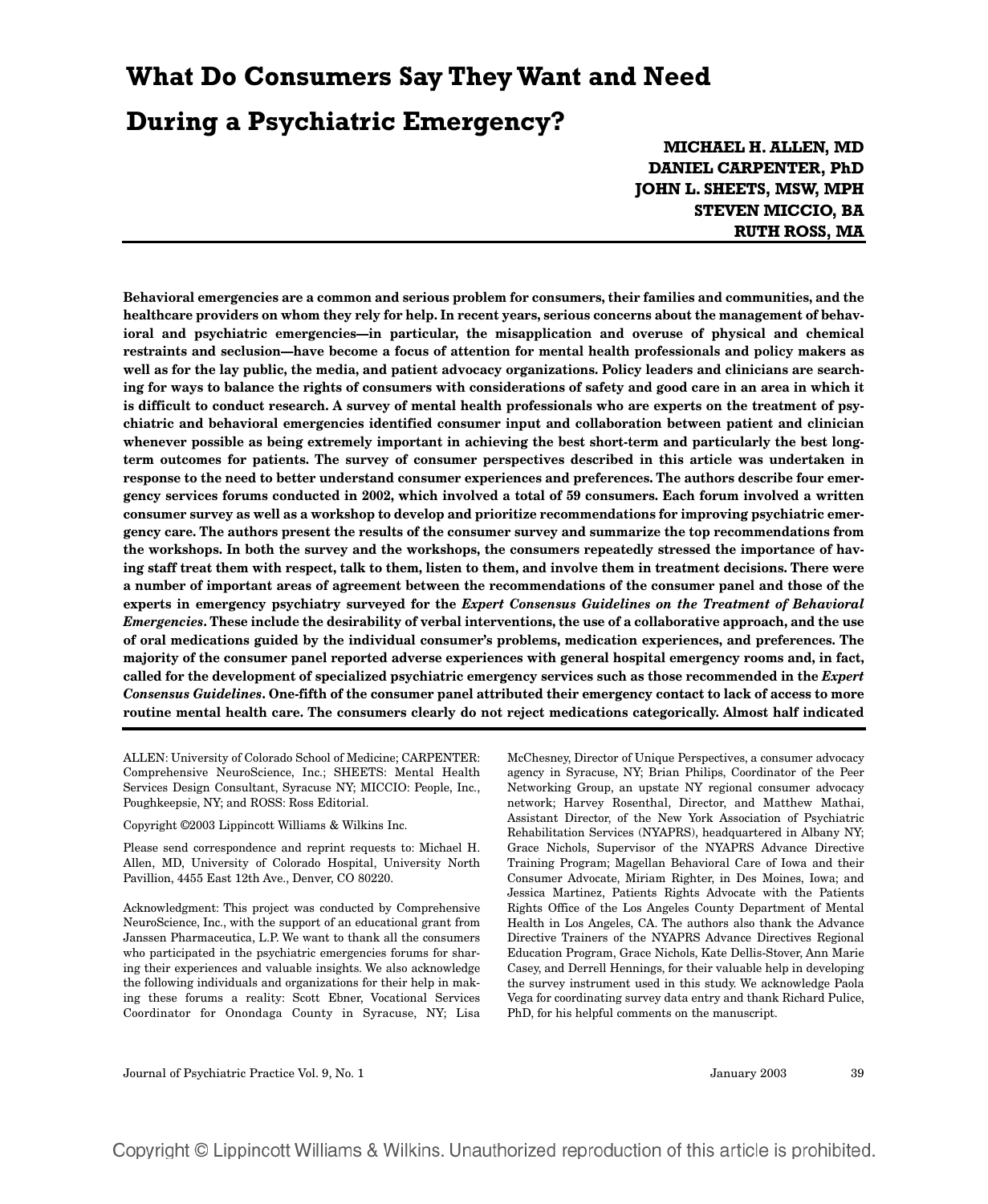# **What Do Consumers Say They Want and Need**

## **During a Psychiatric Emergency?**

**MICHAEL H. ALLEN, MD DANIEL CARPENTER, PhD JOHN L. SHEETS, MSW, MPH STEVEN MICCIO, BA RUTH ROSS, MA**

**Behavioral emergencies are a common and serious problem for consumers, their families and communities, and the healthcare providers on whom they rely for help. In recent years, serious concerns about the management of behavioral and psychiatric emergencies—in particular, the misapplication and overuse of physical and chemical restraints and seclusion—have become a focus of attention for mental health professionals and policy makers as well as for the lay public, the media, and patient advocacy organizations. Policy leaders and clinicians are searching for ways to balance the rights of consumers with considerations of safety and good care in an area in which it is difficult to conduct research. A survey of mental health professionals who are experts on the treatment of psychiatric and behavioral emergencies identified consumer input and collaboration between patient and clinician whenever possible as being extremely important in achieving the best short-term and particularly the best longterm outcomes for patients. The survey of consumer perspectives described in this article was undertaken in response to the need to better understand consumer experiences and preferences. The authors describe four emergency services forums conducted in 2002, which involved a total of 59 consumers. Each forum involved a written consumer survey as well as a workshop to develop and prioritize recommendations for improving psychiatric emergency care. The authors present the results of the consumer survey and summarize the top recommendations from the workshops. In both the survey and the workshops, the consumers repeatedly stressed the importance of having staff treat them with respect, talk to them, listen to them, and involve them in treatment decisions. There were a number of important areas of agreement between the recommendations of the consumer panel and those of the experts in emergency psychiatry surveyed for the** *Expert Consensus Guidelines on the Treatment of Behavioral Emergencies***. These include the desirability of verbal interventions, the use of a collaborative approach, and the use of oral medications guided by the individual consumer's problems, medication experiences, and preferences. The majority of the consumer panel reported adverse experiences with general hospital emergency rooms and, in fact, called for the development of specialized psychiatric emergency services such as those recommended in the** *Expert Consensus Guidelines***. One-fifth of the consumer panel attributed their emergency contact to lack of access to more routine mental health care. The consumers clearly do not reject medications categorically. Almost half indicated**

ALLEN: University of Colorado School of Medicine; CARPENTER: Comprehensive NeuroScience, Inc.; SHEETS: Mental Health Services Design Consultant, Syracuse NY; MICCIO: People, Inc., Poughkeepsie, NY; and ROSS: Ross Editorial.

Copyright ©2003 Lippincott Williams & Wilkins Inc.

Please send correspondence and reprint requests to: Michael H. Allen, MD, University of Colorado Hospital, University North Pavillion, 4455 East 12th Ave., Denver, CO 80220.

Acknowledgment: This project was conducted by Comprehensive NeuroScience, Inc., with the support of an educational grant from Janssen Pharmaceutica, L.P. We want to thank all the consumers who participated in the psychiatric emergencies forums for sharing their experiences and valuable insights. We also acknowledge the following individuals and organizations for their help in making these forums a reality: Scott Ebner, Vocational Services Coordinator for Onondaga County in Syracuse, NY; Lisa

McChesney, Director of Unique Perspectives, a consumer advocacy agency in Syracuse, NY; Brian Philips, Coordinator of the Peer Networking Group, an upstate NY regional consumer advocacy network; Harvey Rosenthal, Director, and Matthew Mathai, Assistant Director, of the New York Association of Psychiatric Rehabilitation Services (NYAPRS), headquartered in Albany NY; Grace Nichols, Supervisor of the NYAPRS Advance Directive Training Program; Magellan Behavioral Care of Iowa and their Consumer Advocate, Miriam Righter, in Des Moines, Iowa; and Jessica Martinez, Patients Rights Advocate with the Patients Rights Office of the Los Angeles County Department of Mental Health in Los Angeles, CA. The authors also thank the Advance Directive Trainers of the NYAPRS Advance Directives Regional Education Program, Grace Nichols, Kate Dellis-Stover, Ann Marie Casey, and Derrell Hennings, for their valuable help in developing the survey instrument used in this study. We acknowledge Paola Vega for coordinating survey data entry and thank Richard Pulice, PhD, for his helpful comments on the manuscript.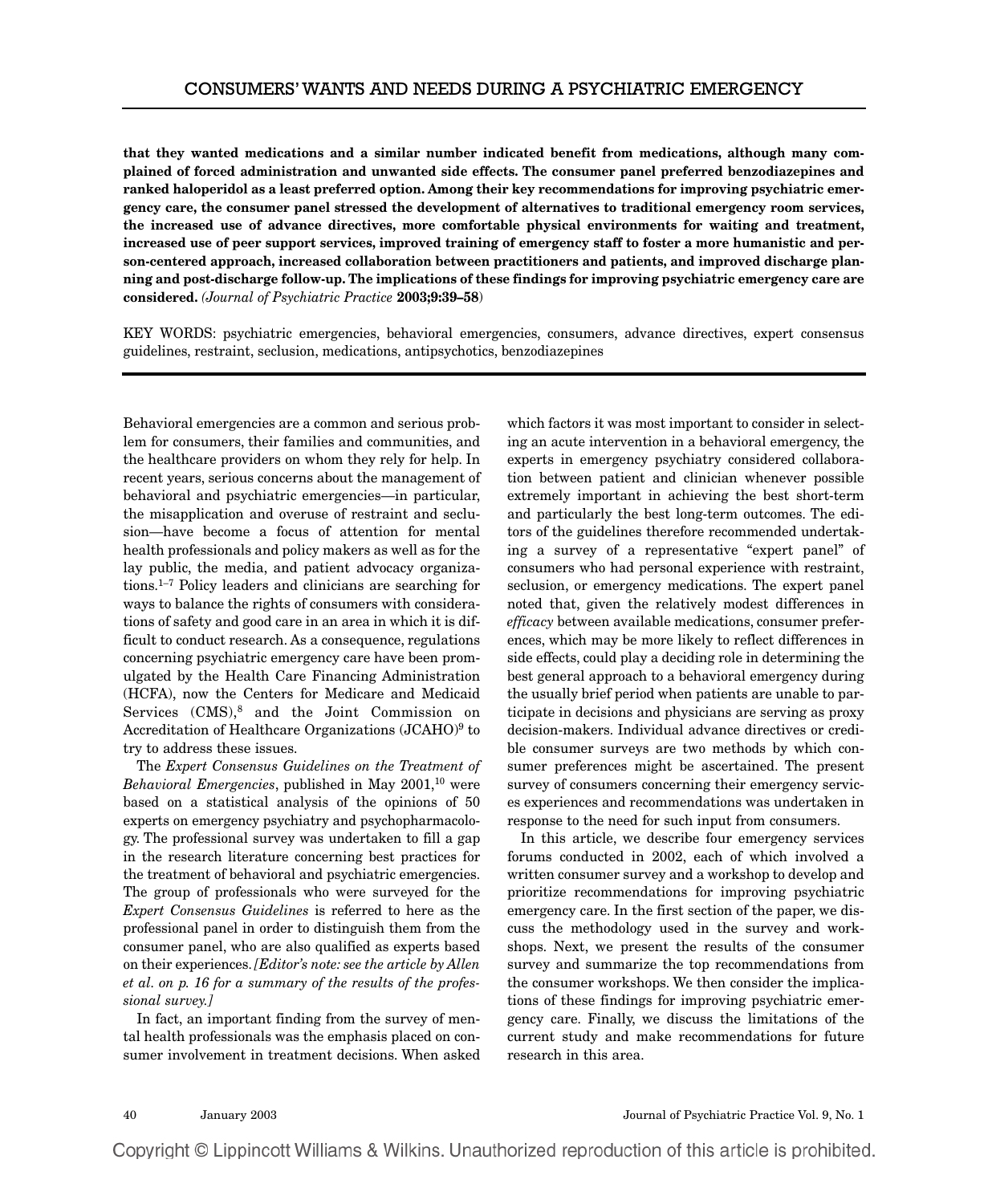**that they wanted medications and a similar number indicated benefit from medications, although many complained of forced administration and unwanted side effects. The consumer panel preferred benzodiazepines and ranked haloperidol as a least preferred option. Among their key recommendations for improving psychiatric emergency care, the consumer panel stressed the development of alternatives to traditional emergency room services, the increased use of advance directives, more comfortable physical environments for waiting and treatment, increased use of peer support services, improved training of emergency staff to foster a more humanistic and person-centered approach, increased collaboration between practitioners and patients, and improved discharge planning and post-discharge follow-up. The implications of these findings for improving psychiatric emergency care are considered.** *(Journal of Psychiatric Practice* **2003;9:39–58**)

KEY WORDS: psychiatric emergencies, behavioral emergencies, consumers, advance directives, expert consensus guidelines, restraint, seclusion, medications, antipsychotics, benzodiazepines

Behavioral emergencies are a common and serious problem for consumers, their families and communities, and the healthcare providers on whom they rely for help. In recent years, serious concerns about the management of behavioral and psychiatric emergencies—in particular, the misapplication and overuse of restraint and seclusion—have become a focus of attention for mental health professionals and policy makers as well as for the lay public, the media, and patient advocacy organizations.1–7 Policy leaders and clinicians are searching for ways to balance the rights of consumers with considerations of safety and good care in an area in which it is difficult to conduct research. As a consequence, regulations concerning psychiatric emergency care have been promulgated by the Health Care Financing Administration (HCFA), now the Centers for Medicare and Medicaid Services (CMS),<sup>8</sup> and the Joint Commission on Accreditation of Healthcare Organizations (JCAHO)<sup>9</sup> to try to address these issues.

The *Expert Consensus Guidelines on the Treatment of Behavioral Emergencies*, published in May 2001,<sup>10</sup> were based on a statistical analysis of the opinions of 50 experts on emergency psychiatry and psychopharmacology. The professional survey was undertaken to fill a gap in the research literature concerning best practices for the treatment of behavioral and psychiatric emergencies. The group of professionals who were surveyed for the *Expert Consensus Guidelines* is referred to here as the professional panel in order to distinguish them from the consumer panel, who are also qualified as experts based on their experiences. *[Editor's note: see the article by Allen et al. on p. 16 for a summary of the results of the professional survey.]*

In fact, an important finding from the survey of mental health professionals was the emphasis placed on consumer involvement in treatment decisions. When asked which factors it was most important to consider in selecting an acute intervention in a behavioral emergency, the experts in emergency psychiatry considered collaboration between patient and clinician whenever possible extremely important in achieving the best short-term and particularly the best long-term outcomes. The editors of the guidelines therefore recommended undertaking a survey of a representative "expert panel" of consumers who had personal experience with restraint, seclusion, or emergency medications. The expert panel noted that, given the relatively modest differences in *efficacy* between available medications, consumer preferences, which may be more likely to reflect differences in side effects, could play a deciding role in determining the best general approach to a behavioral emergency during the usually brief period when patients are unable to participate in decisions and physicians are serving as proxy decision-makers. Individual advance directives or credible consumer surveys are two methods by which consumer preferences might be ascertained. The present survey of consumers concerning their emergency services experiences and recommendations was undertaken in response to the need for such input from consumers.

In this article, we describe four emergency services forums conducted in 2002, each of which involved a written consumer survey and a workshop to develop and prioritize recommendations for improving psychiatric emergency care. In the first section of the paper, we discuss the methodology used in the survey and workshops. Next, we present the results of the consumer survey and summarize the top recommendations from the consumer workshops. We then consider the implications of these findings for improving psychiatric emergency care. Finally, we discuss the limitations of the current study and make recommendations for future research in this area.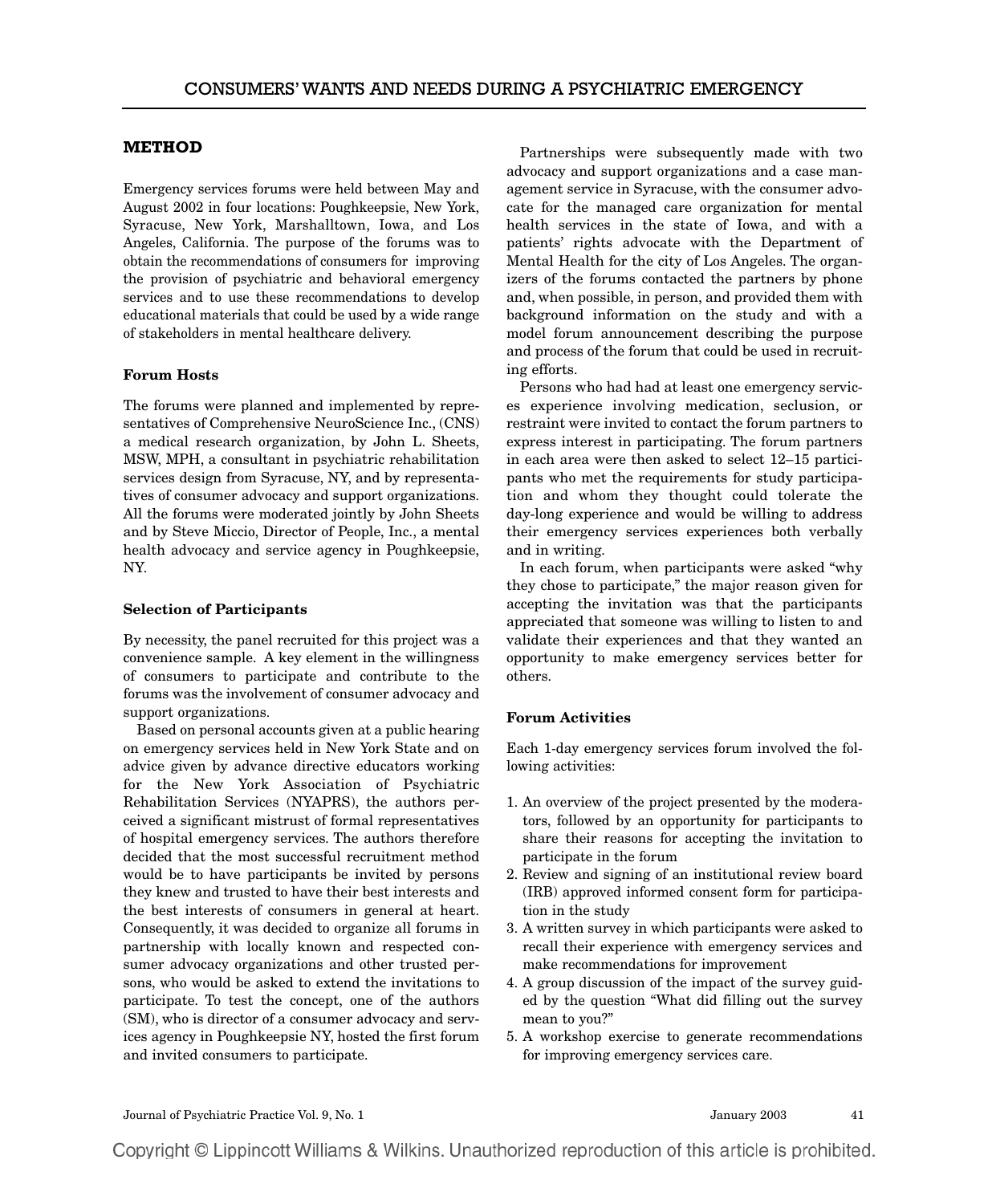### **METHOD**

Emergency services forums were held between May and August 2002 in four locations: Poughkeepsie, New York, Syracuse, New York, Marshalltown, Iowa, and Los Angeles, California. The purpose of the forums was to obtain the recommendations of consumers for improving the provision of psychiatric and behavioral emergency services and to use these recommendations to develop educational materials that could be used by a wide range of stakeholders in mental healthcare delivery.

### **Forum Hosts**

The forums were planned and implemented by representatives of Comprehensive NeuroScience Inc., (CNS) a medical research organization, by John L. Sheets, MSW, MPH, a consultant in psychiatric rehabilitation services design from Syracuse, NY, and by representatives of consumer advocacy and support organizations. All the forums were moderated jointly by John Sheets and by Steve Miccio, Director of People, Inc., a mental health advocacy and service agency in Poughkeepsie, NY.

### **Selection of Participants**

By necessity, the panel recruited for this project was a convenience sample. A key element in the willingness of consumers to participate and contribute to the forums was the involvement of consumer advocacy and support organizations.

Based on personal accounts given at a public hearing on emergency services held in New York State and on advice given by advance directive educators working for the New York Association of Psychiatric Rehabilitation Services (NYAPRS), the authors perceived a significant mistrust of formal representatives of hospital emergency services. The authors therefore decided that the most successful recruitment method would be to have participants be invited by persons they knew and trusted to have their best interests and the best interests of consumers in general at heart. Consequently, it was decided to organize all forums in partnership with locally known and respected consumer advocacy organizations and other trusted persons, who would be asked to extend the invitations to participate. To test the concept, one of the authors (SM), who is director of a consumer advocacy and services agency in Poughkeepsie NY, hosted the first forum and invited consumers to participate.

Partnerships were subsequently made with two advocacy and support organizations and a case management service in Syracuse, with the consumer advocate for the managed care organization for mental health services in the state of Iowa, and with a patients' rights advocate with the Department of Mental Health for the city of Los Angeles. The organizers of the forums contacted the partners by phone and, when possible, in person, and provided them with background information on the study and with a model forum announcement describing the purpose and process of the forum that could be used in recruiting efforts.

Persons who had had at least one emergency services experience involving medication, seclusion, or restraint were invited to contact the forum partners to express interest in participating. The forum partners in each area were then asked to select 12–15 participants who met the requirements for study participation and whom they thought could tolerate the day-long experience and would be willing to address their emergency services experiences both verbally and in writing.

In each forum, when participants were asked "why they chose to participate," the major reason given for accepting the invitation was that the participants appreciated that someone was willing to listen to and validate their experiences and that they wanted an opportunity to make emergency services better for others.

### **Forum Activities**

Each 1-day emergency services forum involved the following activities:

- 1. An overview of the project presented by the moderators, followed by an opportunity for participants to share their reasons for accepting the invitation to participate in the forum
- 2. Review and signing of an institutional review board (IRB) approved informed consent form for participation in the study
- 3. A written survey in which participants were asked to recall their experience with emergency services and make recommendations for improvement
- 4. A group discussion of the impact of the survey guided by the question "What did filling out the survey mean to you?"
- 5. A workshop exercise to generate recommendations for improving emergency services care.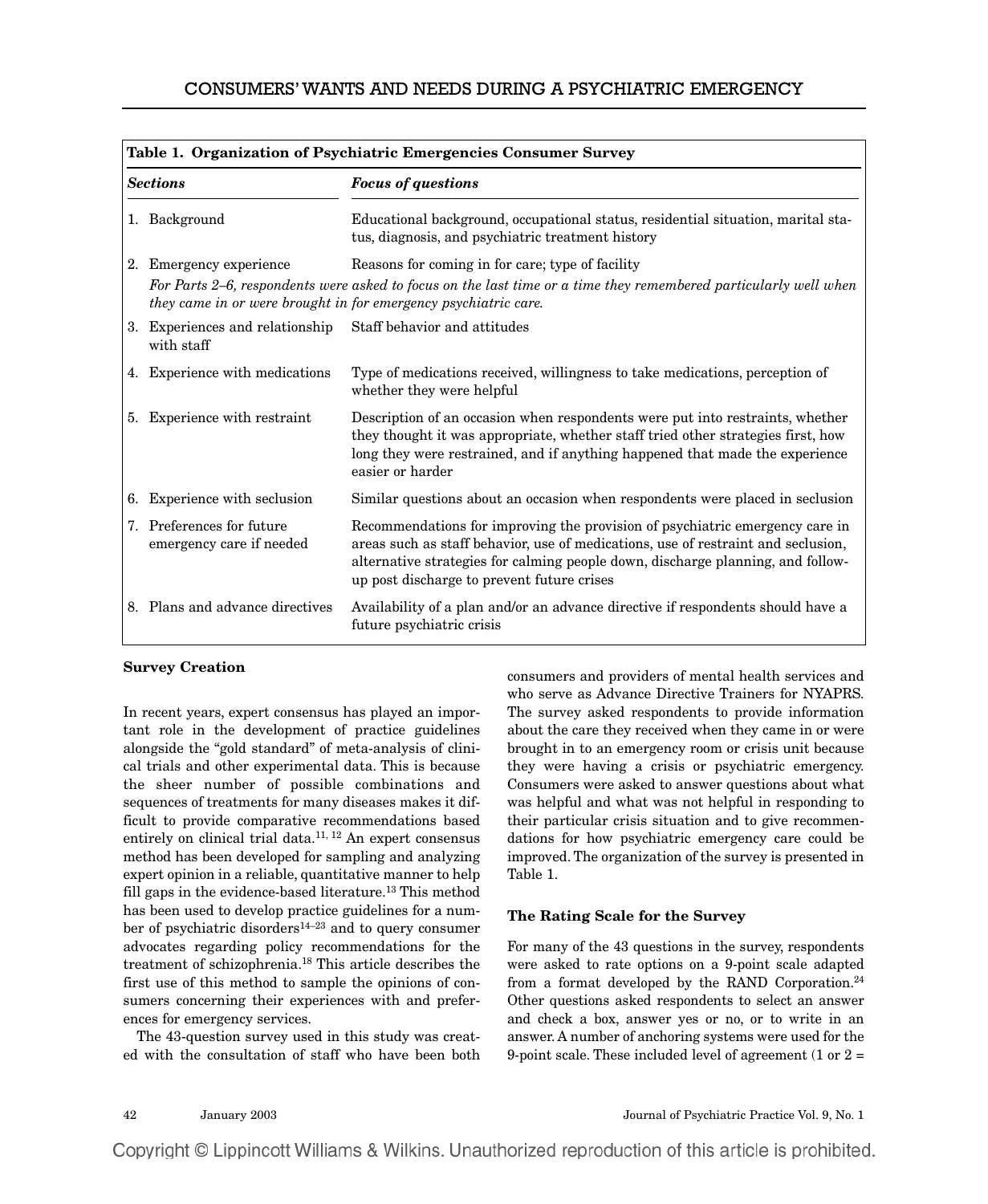|                                                                                                                                                                                     | Table 1. Organization of Psychiatric Emergencies Consumer Survey |                                                                                                                                                                                                                                                                                                    |  |  |  |  |
|-------------------------------------------------------------------------------------------------------------------------------------------------------------------------------------|------------------------------------------------------------------|----------------------------------------------------------------------------------------------------------------------------------------------------------------------------------------------------------------------------------------------------------------------------------------------------|--|--|--|--|
| <b>Sections</b>                                                                                                                                                                     |                                                                  | <b>Focus of questions</b>                                                                                                                                                                                                                                                                          |  |  |  |  |
|                                                                                                                                                                                     | 1. Background                                                    | Educational background, occupational status, residential situation, marital sta-<br>tus, diagnosis, and psychiatric treatment history                                                                                                                                                              |  |  |  |  |
|                                                                                                                                                                                     | 2. Emergency experience                                          | Reasons for coming in for care; type of facility                                                                                                                                                                                                                                                   |  |  |  |  |
| For Parts 2–6, respondents were asked to focus on the last time or a time they remembered particularly well when<br>they came in or were brought in for emergency psychiatric care. |                                                                  |                                                                                                                                                                                                                                                                                                    |  |  |  |  |
|                                                                                                                                                                                     | 3. Experiences and relationship<br>with staff                    | Staff behavior and attitudes                                                                                                                                                                                                                                                                       |  |  |  |  |
|                                                                                                                                                                                     | 4. Experience with medications                                   | Type of medications received, willingness to take medications, perception of<br>whether they were helpful                                                                                                                                                                                          |  |  |  |  |
| 5.                                                                                                                                                                                  | Experience with restraint                                        | Description of an occasion when respondents were put into restraints, whether<br>they thought it was appropriate, whether staff tried other strategies first, how<br>long they were restrained, and if anything happened that made the experience<br>easier or harder                              |  |  |  |  |
| 6.                                                                                                                                                                                  | Experience with seclusion                                        | Similar questions about an occasion when respondents were placed in seclusion                                                                                                                                                                                                                      |  |  |  |  |
|                                                                                                                                                                                     | 7. Preferences for future<br>emergency care if needed            | Recommendations for improving the provision of psychiatric emergency care in<br>areas such as staff behavior, use of medications, use of restraint and seclusion,<br>alternative strategies for calming people down, discharge planning, and follow-<br>up post discharge to prevent future crises |  |  |  |  |
|                                                                                                                                                                                     | 8. Plans and advance directives                                  | Availability of a plan and/or an advance directive if respondents should have a<br>future psychiatric crisis                                                                                                                                                                                       |  |  |  |  |

### **Survey Creation**

In recent years, expert consensus has played an important role in the development of practice guidelines alongside the "gold standard" of meta-analysis of clinical trials and other experimental data. This is because the sheer number of possible combinations and sequences of treatments for many diseases makes it difficult to provide comparative recommendations based entirely on clinical trial data.<sup>11, 12</sup> An expert consensus method has been developed for sampling and analyzing expert opinion in a reliable, quantitative manner to help fill gaps in the evidence-based literature.13 This method has been used to develop practice guidelines for a number of psychiatric disorders $14-23$  and to query consumer advocates regarding policy recommendations for the treatment of schizophrenia.18 This article describes the first use of this method to sample the opinions of consumers concerning their experiences with and preferences for emergency services.

The 43-question survey used in this study was created with the consultation of staff who have been both consumers and providers of mental health services and who serve as Advance Directive Trainers for NYAPRS. The survey asked respondents to provide information about the care they received when they came in or were brought in to an emergency room or crisis unit because they were having a crisis or psychiatric emergency. Consumers were asked to answer questions about what was helpful and what was not helpful in responding to their particular crisis situation and to give recommendations for how psychiatric emergency care could be improved. The organization of the survey is presented in Table 1.

### **The Rating Scale for the Survey**

For many of the 43 questions in the survey, respondents were asked to rate options on a 9-point scale adapted from a format developed by the RAND Corporation.24 Other questions asked respondents to select an answer and check a box, answer yes or no, or to write in an answer. A number of anchoring systems were used for the 9-point scale. These included level of agreement (1 or 2 =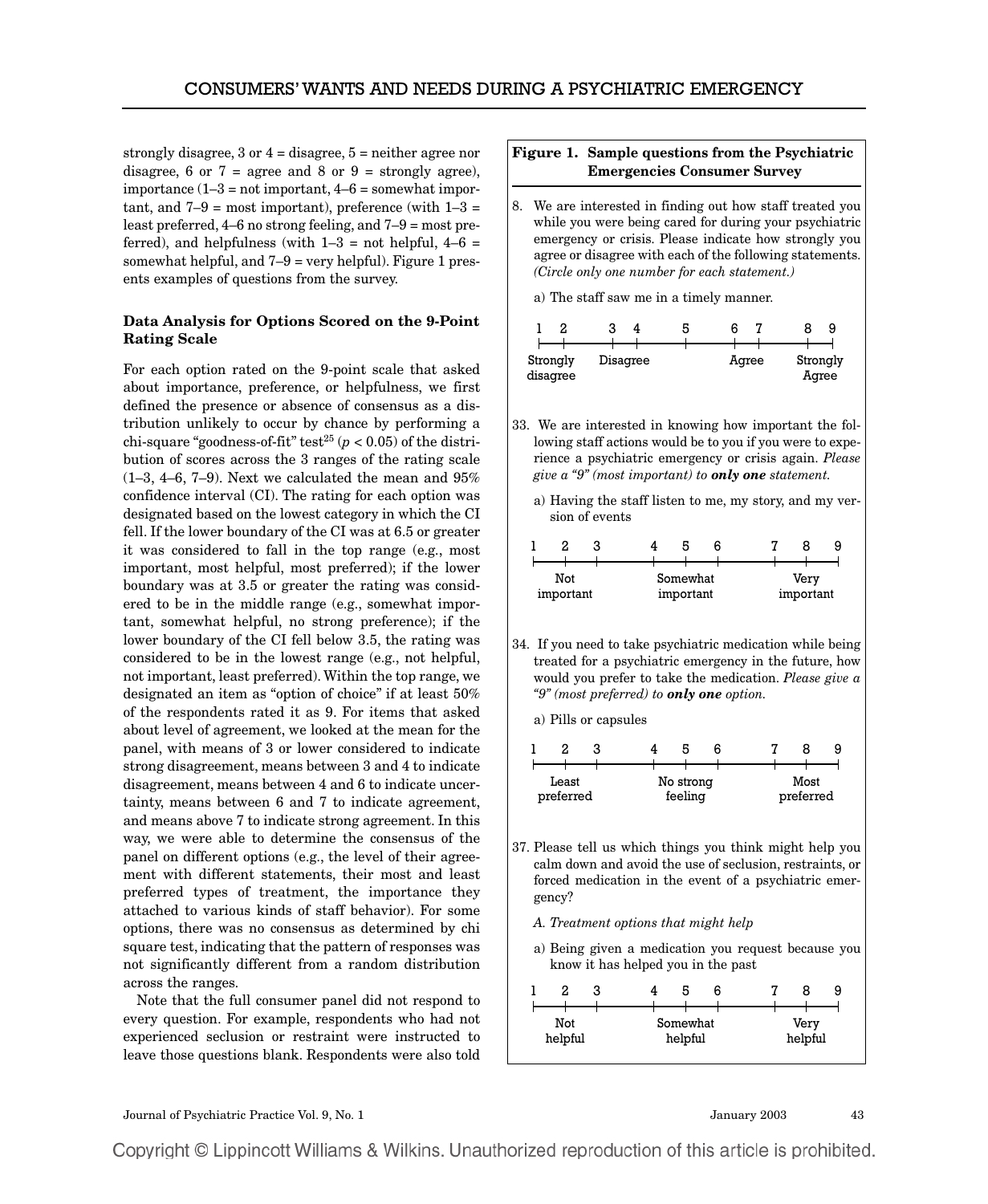strongly disagree, 3 or 4 = disagree, 5 = neither agree nor disagree, 6 or  $7 = \text{agree}$  and 8 or  $9 = \text{strongly agree}$ ), importance  $(1-3 = not important, 4-6 = somewhat import)$ tant, and  $7-9$  = most important), preference (with  $1-3$  = least preferred, 4–6 no strong feeling, and 7–9 = most preferred), and helpfulness (with  $1-3 =$  not helpful,  $4-6 =$ somewhat helpful, and  $7-9$  = very helpful). Figure 1 presents examples of questions from the survey.

### **Data Analysis for Options Scored on the 9-Point Rating Scale**

For each option rated on the 9-point scale that asked about importance, preference, or helpfulness, we first defined the presence or absence of consensus as a distribution unlikely to occur by chance by performing a chi-square "goodness-of-fit" test<sup>25</sup>  $(p < 0.05)$  of the distribution of scores across the 3 ranges of the rating scale  $(1-3, 4-6, 7-9)$ . Next we calculated the mean and  $95\%$ confidence interval (CI). The rating for each option was designated based on the lowest category in which the CI fell. If the lower boundary of the CI was at 6.5 or greater it was considered to fall in the top range (e.g., most important, most helpful, most preferred); if the lower boundary was at 3.5 or greater the rating was considered to be in the middle range (e.g., somewhat important, somewhat helpful, no strong preference); if the lower boundary of the CI fell below 3.5, the rating was considered to be in the lowest range (e.g., not helpful, not important, least preferred). Within the top range, we designated an item as "option of choice" if at least 50% of the respondents rated it as 9. For items that asked about level of agreement, we looked at the mean for the panel, with means of 3 or lower considered to indicate strong disagreement, means between 3 and 4 to indicate disagreement, means between 4 and 6 to indicate uncertainty, means between 6 and 7 to indicate agreement, and means above 7 to indicate strong agreement. In this way, we were able to determine the consensus of the panel on different options (e.g., the level of their agreement with different statements, their most and least preferred types of treatment, the importance they attached to various kinds of staff behavior). For some options, there was no consensus as determined by chi square test, indicating that the pattern of responses was not significantly different from a random distribution across the ranges.

Note that the full consumer panel did not respond to every question. For example, respondents who had not experienced seclusion or restraint were instructed to leave those questions blank. Respondents were also told

### **Figure 1. Sample questions from the Psychiatric Emergencies Consumer Survey**

8. We are interested in finding out how staff treated you while you were being cared for during your psychiatric emergency or crisis. Please indicate how strongly you agree or disagree with each of the following statements. *(Circle only one number for each statement.)*

a) The staff saw me in a timely manner.

|                      |  | 4        |       |                   |  |
|----------------------|--|----------|-------|-------------------|--|
| Strongly<br>disagree |  | Disagree | Agree | Strongly<br>Agree |  |

- 33. We are interested in knowing how important the following staff actions would be to you if you were to experience a psychiatric emergency or crisis again. *Please give a "9" (most important) to only one statement.*
	- a) Having the staff listen to me, my story, and my version of events



34. If you need to take psychiatric medication while being treated for a psychiatric emergency in the future, how would you prefer to take the medication. *Please give a "9" (most preferred) to only one option.*

a) Pills or capsules



- 37. Please tell us which things you think might help you calm down and avoid the use of seclusion, restraints, or forced medication in the event of a psychiatric emergency?
	- *A. Treatment options that might help*
	- a) Being given a medication you request because you know it has helped you in the past



Journal of Psychiatric Practice Vol. 9, No. 1 January 2003 43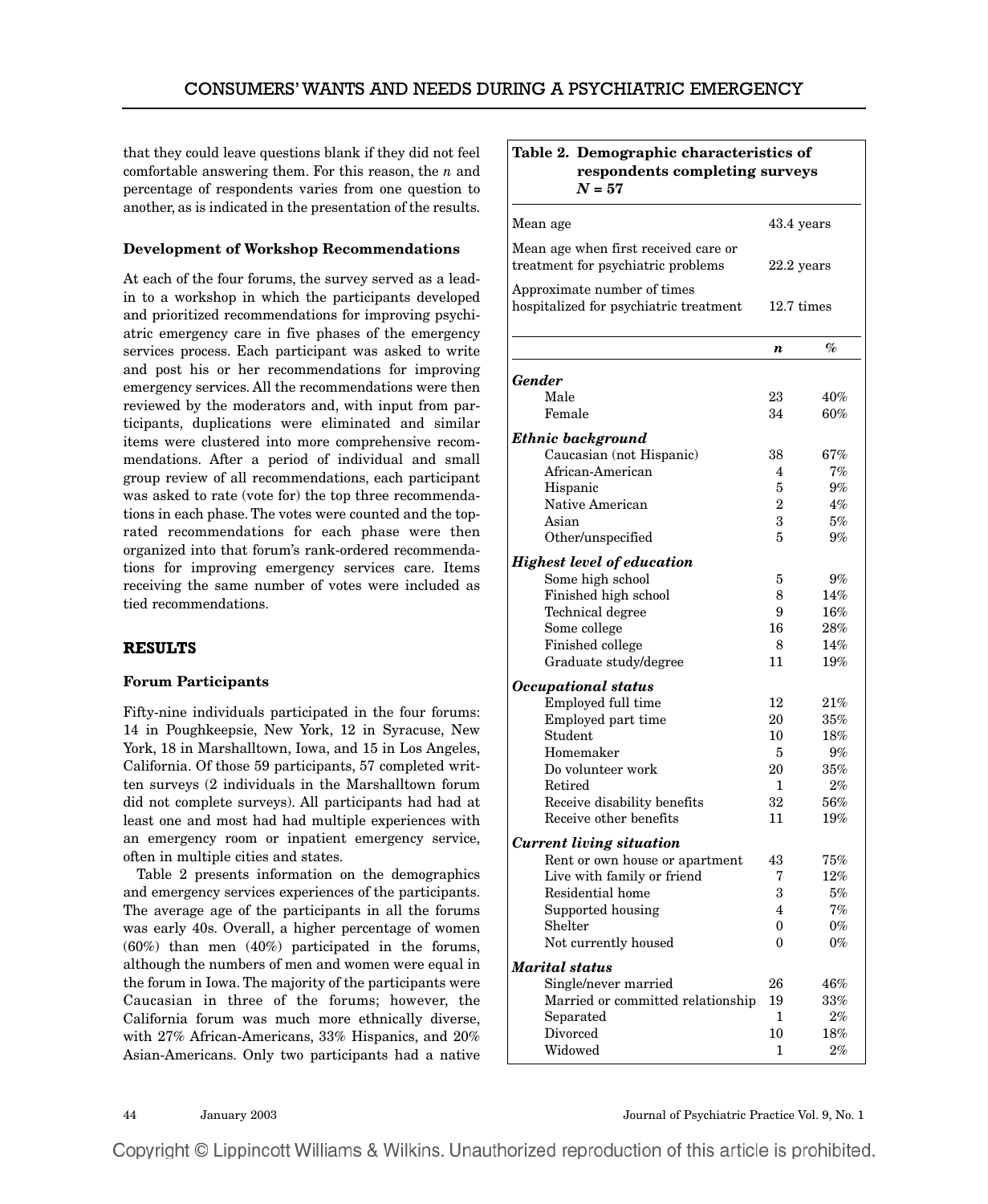that they could leave questions blank if they did not feel comfortable answering them. For this reason, the *n* and percentage of respondents varies from one question to another, as is indicated in the presentation of the results.

### **Development of Workshop Recommendations**

At each of the four forums, the survey served as a leadin to a workshop in which the participants developed and prioritized recommendations for improving psychiatric emergency care in five phases of the emergency services process. Each participant was asked to write and post his or her recommendations for improving emergency services. All the recommendations were then reviewed by the moderators and, with input from participants, duplications were eliminated and similar items were clustered into more comprehensive recommendations. After a period of individual and small group review of all recommendations, each participant was asked to rate (vote for) the top three recommendations in each phase. The votes were counted and the toprated recommendations for each phase were then organized into that forum's rank-ordered recommendations for improving emergency services care. Items receiving the same number of votes were included as tied recommendations.

### **RESULTS**

### **Forum Participants**

Fifty-nine individuals participated in the four forums: 14 in Poughkeepsie, New York, 12 in Syracuse, New York, 18 in Marshalltown, Iowa, and 15 in Los Angeles, California. Of those 59 participants, 57 completed written surveys (2 individuals in the Marshalltown forum did not complete surveys). All participants had had at least one and most had had multiple experiences with an emergency room or inpatient emergency service, often in multiple cities and states.

Table 2 presents information on the demographics and emergency services experiences of the participants. The average age of the participants in all the forums was early 40s. Overall, a higher percentage of women (60%) than men (40%) participated in the forums, although the numbers of men and women were equal in the forum in Iowa. The majority of the participants were Caucasian in three of the forums; however, the California forum was much more ethnically diverse, with 27% African-Americans, 33% Hispanics, and 20% Asian-Americans. Only two participants had a native

### **Table 2. Demographic characteristics of respondents completing surveys** *N* **= 57** Mean age  $43.4 \text{ years}$ Mean age when first received care or treatment for psychiatric problems 22.2 years Approximate number of times hospitalized for psychiatric treatment 12.7 times *n* **%** *Gender* Male  $23 \t 40\%$ Female 34 60% *Ethnic background* Caucasian (not Hispanic) 38 67% African-American 4 7% Hispanic 5 9% Native American 2 4% Asian  $3 \t 5\%$ Other/unspecified 5 9% *Highest level of education* Some high school 5 9% Finished high school 8 14% Technical degree 9 16% Some college 16 28% Finished college 8 14% Graduate study/degree 11 19% *Occupational status* Employed full time 12 21% Employed part time 20 35%  $\begin{tabular}{ccccc} Student & & & 10 & & 18\% \end{tabular}$ Homemaker 5 9% Do volunteer work 20 35% Retired 1  $2\%$ Receive disability benefits 32 56% Receive other benefits 11 19% *Current living situation* Rent or own house or apartment 43 75% Live with family or friend  $\begin{array}{ccc} 7 & 12\% \\ 8 & 5\% \end{array}$ Residential home  $3$  5% Supported housing 4 7% Shelter  $0 \t 0\t 0\t 0$ Not currently housed 0 0% *Marital status* Single/never married 26 46% Married or committed relationship 19 33% Separated 1 2% Divorced 10 18% Widowed 1  $2\%$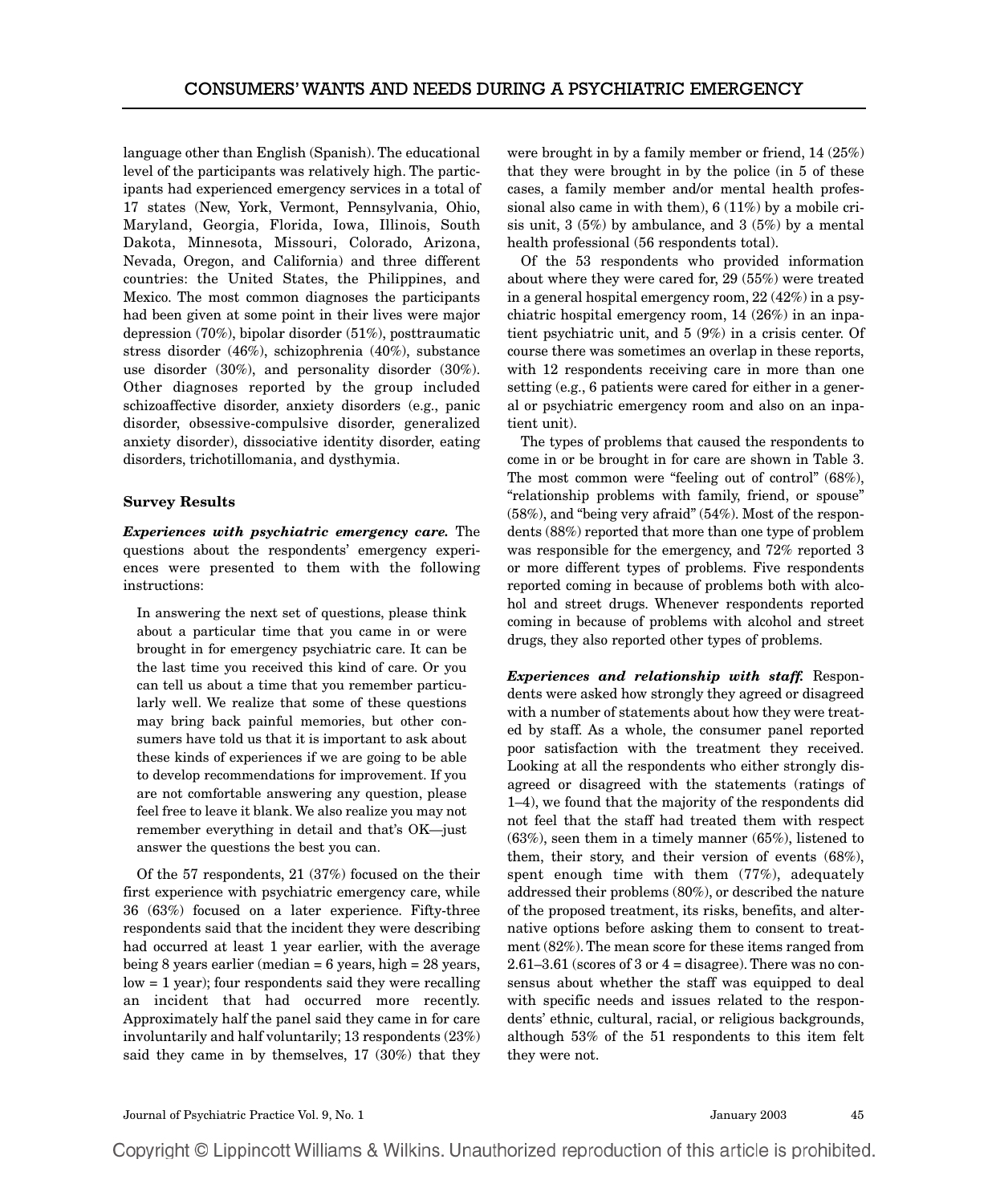language other than English (Spanish). The educational level of the participants was relatively high. The participants had experienced emergency services in a total of 17 states (New, York, Vermont, Pennsylvania, Ohio, Maryland, Georgia, Florida, Iowa, Illinois, South Dakota, Minnesota, Missouri, Colorado, Arizona, Nevada, Oregon, and California) and three different countries: the United States, the Philippines, and Mexico. The most common diagnoses the participants had been given at some point in their lives were major depression (70%), bipolar disorder (51%), posttraumatic stress disorder (46%), schizophrenia (40%), substance use disorder (30%), and personality disorder (30%). Other diagnoses reported by the group included schizoaffective disorder, anxiety disorders (e.g., panic disorder, obsessive-compulsive disorder, generalized anxiety disorder), dissociative identity disorder, eating disorders, trichotillomania, and dysthymia.

### **Survey Results**

*Experiences with psychiatric emergency care.* The questions about the respondents' emergency experiences were presented to them with the following instructions:

In answering the next set of questions, please think about a particular time that you came in or were brought in for emergency psychiatric care. It can be the last time you received this kind of care. Or you can tell us about a time that you remember particularly well. We realize that some of these questions may bring back painful memories, but other consumers have told us that it is important to ask about these kinds of experiences if we are going to be able to develop recommendations for improvement. If you are not comfortable answering any question, please feel free to leave it blank. We also realize you may not remember everything in detail and that's OK—just answer the questions the best you can.

Of the 57 respondents, 21 (37%) focused on the their first experience with psychiatric emergency care, while 36 (63%) focused on a later experience. Fifty-three respondents said that the incident they were describing had occurred at least 1 year earlier, with the average being 8 years earlier (median = 6 years, high = 28 years, low = 1 year); four respondents said they were recalling an incident that had occurred more recently. Approximately half the panel said they came in for care involuntarily and half voluntarily; 13 respondents (23%) said they came in by themselves, 17 (30%) that they were brought in by a family member or friend, 14 (25%) that they were brought in by the police (in 5 of these cases, a family member and/or mental health professional also came in with them), 6 (11%) by a mobile crisis unit,  $3(5\%)$  by ambulance, and  $3(5\%)$  by a mental health professional (56 respondents total).

Of the 53 respondents who provided information about where they were cared for, 29 (55%) were treated in a general hospital emergency room, 22 (42%) in a psychiatric hospital emergency room, 14 (26%) in an inpatient psychiatric unit, and 5 (9%) in a crisis center. Of course there was sometimes an overlap in these reports, with 12 respondents receiving care in more than one setting (e.g., 6 patients were cared for either in a general or psychiatric emergency room and also on an inpatient unit).

The types of problems that caused the respondents to come in or be brought in for care are shown in Table 3. The most common were "feeling out of control" (68%), "relationship problems with family, friend, or spouse" (58%), and "being very afraid" (54%). Most of the respondents (88%) reported that more than one type of problem was responsible for the emergency, and 72% reported 3 or more different types of problems. Five respondents reported coming in because of problems both with alcohol and street drugs. Whenever respondents reported coming in because of problems with alcohol and street drugs, they also reported other types of problems.

*Experiences and relationship with staff.* Respondents were asked how strongly they agreed or disagreed with a number of statements about how they were treated by staff. As a whole, the consumer panel reported poor satisfaction with the treatment they received. Looking at all the respondents who either strongly disagreed or disagreed with the statements (ratings of 1–4), we found that the majority of the respondents did not feel that the staff had treated them with respect (63%), seen them in a timely manner (65%), listened to them, their story, and their version of events (68%), spent enough time with them (77%), adequately addressed their problems (80%), or described the nature of the proposed treatment, its risks, benefits, and alternative options before asking them to consent to treatment (82%). The mean score for these items ranged from  $2.61-3.61$  (scores of 3 or  $4 =$  disagree). There was no consensus about whether the staff was equipped to deal with specific needs and issues related to the respondents' ethnic, cultural, racial, or religious backgrounds, although 53% of the 51 respondents to this item felt they were not.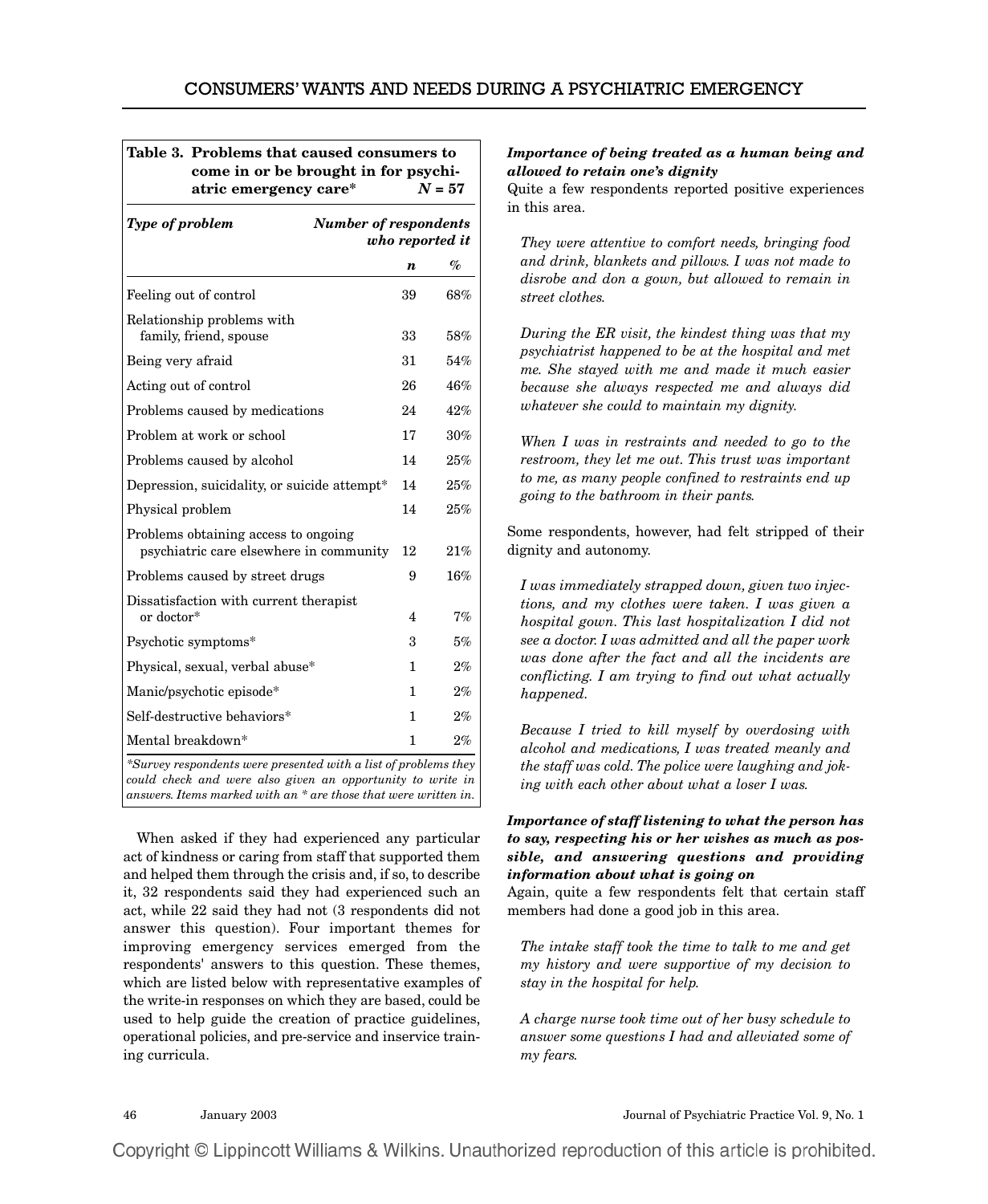**Table 3. Problems that caused consumers to come in or be brought in for psychi**atric emergency care\* $N = 57$ 

| Type of problem                                                                 | <b>Number of respondents</b><br>who reported it |       |  |  |
|---------------------------------------------------------------------------------|-------------------------------------------------|-------|--|--|
|                                                                                 | n                                               | $\%$  |  |  |
| Feeling out of control                                                          | 39                                              | 68%   |  |  |
| Relationship problems with<br>family, friend, spouse                            | 33                                              | 58%   |  |  |
| Being very afraid                                                               | 31                                              | 54%   |  |  |
| Acting out of control                                                           | 26                                              | 46%   |  |  |
| Problems caused by medications                                                  | 24                                              | 42%   |  |  |
| Problem at work or school                                                       | 17                                              | 30%   |  |  |
| Problems caused by alcohol                                                      | 14                                              | 25%   |  |  |
| Depression, suicidality, or suicide attempt*                                    | 14                                              | 25%   |  |  |
| Physical problem                                                                | 14                                              | 25%   |  |  |
| Problems obtaining access to ongoing<br>psychiatric care elsewhere in community | 12                                              | 21%   |  |  |
| Problems caused by street drugs                                                 | 9                                               | 16%   |  |  |
| Dissatisfaction with current therapist<br>or doctor*                            | $\overline{\mathbf{4}}$                         | 7%    |  |  |
| Psychotic symptoms*                                                             | 3                                               | 5%    |  |  |
| Physical, sexual, verbal abuse*                                                 | 1                                               | 2%    |  |  |
| Manic/psychotic episode*                                                        | 1                                               | $2\%$ |  |  |
| Self-destructive behaviors*                                                     | $\mathbf{1}$                                    | $2\%$ |  |  |
| Mental breakdown*                                                               | 1                                               | $2\%$ |  |  |

*\*Survey respondents were presented with a list of problems they could check and were also given an opportunity to write in answers. Items marked with an \* are those that were written in.*

When asked if they had experienced any particular act of kindness or caring from staff that supported them and helped them through the crisis and, if so, to describe it, 32 respondents said they had experienced such an act, while 22 said they had not (3 respondents did not answer this question). Four important themes for improving emergency services emerged from the respondents' answers to this question. These themes, which are listed below with representative examples of the write-in responses on which they are based, could be used to help guide the creation of practice guidelines, operational policies, and pre-service and inservice training curricula.

### *Importance of being treated as a human being and allowed to retain one's dignity*

Quite a few respondents reported positive experiences in this area.

*They were attentive to comfort needs, bringing food and drink, blankets and pillows. I was not made to disrobe and don a gown, but allowed to remain in street clothes.*

*During the ER visit, the kindest thing was that my psychiatrist happened to be at the hospital and met me. She stayed with me and made it much easier because she always respected me and always did whatever she could to maintain my dignity.*

*When I was in restraints and needed to go to the restroom, they let me out. This trust was important to me, as many people confined to restraints end up going to the bathroom in their pants.*

Some respondents, however, had felt stripped of their dignity and autonomy.

*I was immediately strapped down, given two injections, and my clothes were taken. I was given a hospital gown. This last hospitalization I did not see a doctor. I was admitted and all the paper work was done after the fact and all the incidents are conflicting. I am trying to find out what actually happened.*

*Because I tried to kill myself by overdosing with alcohol and medications, I was treated meanly and the staff was cold. The police were laughing and joking with each other about what a loser I was.*

### *Importance of staff listening to what the person has to say, respecting his or her wishes as much as possible, and answering questions and providing information about what is going on*

Again, quite a few respondents felt that certain staff members had done a good job in this area.

*The intake staff took the time to talk to me and get my history and were supportive of my decision to stay in the hospital for help.*

*A charge nurse took time out of her busy schedule to answer some questions I had and alleviated some of my fears.*

46 January 2003 Journal of Psychiatric Practice Vol. 9, No. 1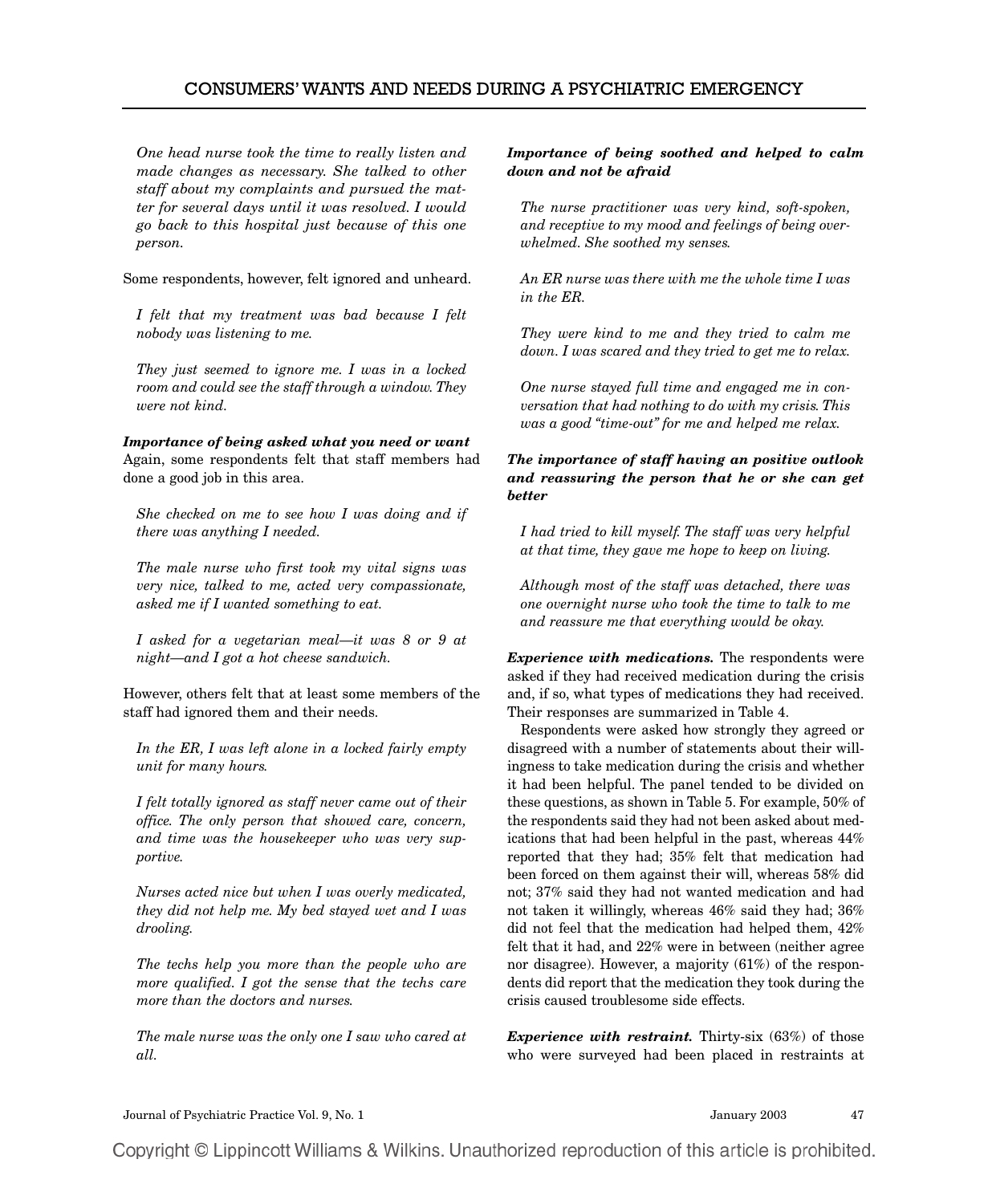### CONSUMERS'WANTS AND NEEDS DURING A PSYCHIATRIC EMERGENCY

*One head nurse took the time to really listen and made changes as necessary. She talked to other staff about my complaints and pursued the matter for several days until it was resolved. I would go back to this hospital just because of this one person.*

Some respondents, however, felt ignored and unheard.

*I felt that my treatment was bad because I felt nobody was listening to me.*

*They just seemed to ignore me. I was in a locked room and could see the staff through a window. They were not kind.*

*Importance of being asked what you need or want* Again, some respondents felt that staff members had done a good job in this area.

*She checked on me to see how I was doing and if there was anything I needed.*

*The male nurse who first took my vital signs was very nice, talked to me, acted very compassionate, asked me if I wanted something to eat.*

*I asked for a vegetarian meal—it was 8 or 9 at night—and I got a hot cheese sandwich.*

However, others felt that at least some members of the staff had ignored them and their needs.

*In the ER, I was left alone in a locked fairly empty unit for many hours.*

*I felt totally ignored as staff never came out of their office. The only person that showed care, concern, and time was the housekeeper who was very supportive.*

*Nurses acted nice but when I was overly medicated, they did not help me. My bed stayed wet and I was drooling.*

*The techs help you more than the people who are more qualified. I got the sense that the techs care more than the doctors and nurses.*

*The male nurse was the only one I saw who cared at all.*

### *Importance of being soothed and helped to calm down and not be afraid*

*The nurse practitioner was very kind, soft-spoken, and receptive to my mood and feelings of being overwhelmed. She soothed my senses.*

*An ER nurse was there with me the whole time I was in the ER.*

*They were kind to me and they tried to calm me down. I was scared and they tried to get me to relax.*

*One nurse stayed full time and engaged me in conversation that had nothing to do with my crisis. This was a good "time-out" for me and helped me relax.*

### *The importance of staff having an positive outlook and reassuring the person that he or she can get better*

*I had tried to kill myself. The staff was very helpful at that time, they gave me hope to keep on living.*

*Although most of the staff was detached, there was one overnight nurse who took the time to talk to me and reassure me that everything would be okay.*

*Experience with medications.* The respondents were asked if they had received medication during the crisis and, if so, what types of medications they had received. Their responses are summarized in Table 4.

Respondents were asked how strongly they agreed or disagreed with a number of statements about their willingness to take medication during the crisis and whether it had been helpful. The panel tended to be divided on these questions, as shown in Table 5. For example, 50% of the respondents said they had not been asked about medications that had been helpful in the past, whereas 44% reported that they had; 35% felt that medication had been forced on them against their will, whereas 58% did not; 37% said they had not wanted medication and had not taken it willingly, whereas 46% said they had; 36% did not feel that the medication had helped them, 42% felt that it had, and 22% were in between (neither agree nor disagree). However, a majority (61%) of the respondents did report that the medication they took during the crisis caused troublesome side effects.

*Experience with restraint.* Thirty-six (63%) of those who were surveyed had been placed in restraints at

Journal of Psychiatric Practice Vol. 9, No. 1 January 2003 47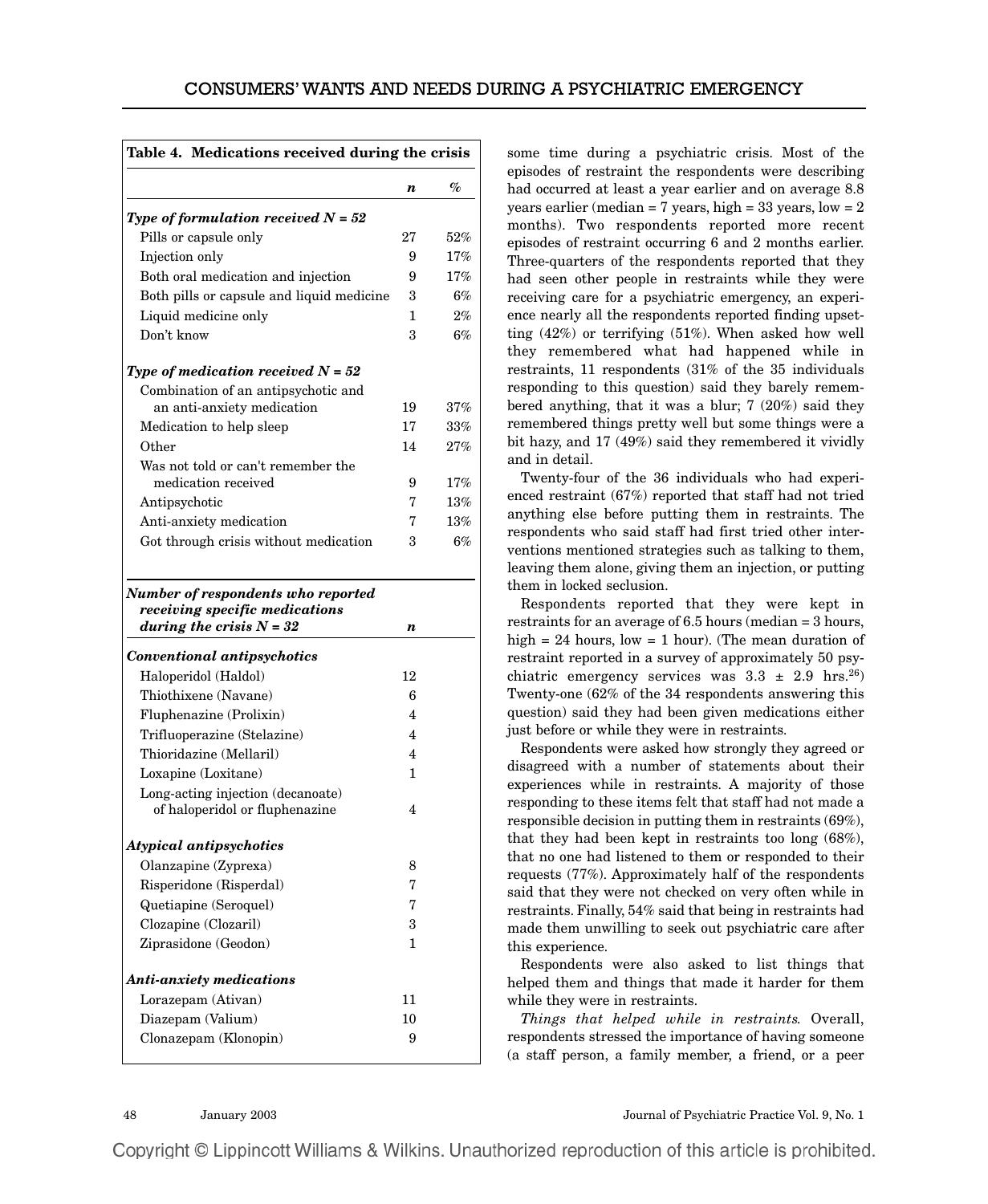| Table 4. Medications received during the crisis                                                    |        |           |
|----------------------------------------------------------------------------------------------------|--------|-----------|
|                                                                                                    | n      | %         |
| Type of formulation received $N = 52$                                                              |        |           |
| Pills or capsule only                                                                              | 27     | 52%       |
| Injection only                                                                                     | 9      | $17\%$    |
| Both oral medication and injection                                                                 | 9      | $17\%$    |
| Both pills or capsule and liquid medicine                                                          | 3      | $6\%$     |
| Liquid medicine only                                                                               | 1      | $2\%$     |
| Don't know                                                                                         | 3      | 6%        |
| Type of medication received $N = 52$                                                               |        |           |
| Combination of an antipsychotic and                                                                |        |           |
| an anti-anxiety medication                                                                         | 19     | $37\%$    |
| Medication to help sleep                                                                           | 17     | $33\%$    |
| Other                                                                                              | 14     | $27\%$    |
| Was not told or can't remember the                                                                 |        |           |
| medication received                                                                                | 9      | 17%       |
| Antipsychotic                                                                                      | 7      | $13\%$    |
| Anti-anxiety medication<br>Got through crisis without medication                                   | 7<br>3 | 13%<br>6% |
| Number of respondents who reported<br>receiving specific medications<br>during the crisis $N = 32$ | n      |           |
| Conventional antipsychotics                                                                        |        |           |
| Haloperidol (Haldol)                                                                               | 12     |           |
| Thiothixene (Navane)                                                                               | 6      |           |
| Fluphenazine (Prolixin)                                                                            | 4      |           |
| Trifluoperazine (Stelazine)                                                                        | 4      |           |
| Thioridazine (Mellaril)                                                                            | 4      |           |
| Loxapine (Loxitane)                                                                                | 1      |           |
| Long-acting injection (decanoate)<br>of haloperidol or fluphenazine                                | 4      |           |
| <b>Atypical antipsychotics</b>                                                                     |        |           |
| Olanzapine (Zyprexa)                                                                               | 8      |           |
| Risperidone (Risperdal)                                                                            | 7      |           |
| Quetiapine (Seroquel)                                                                              | 7      |           |
| Clozapine (Clozaril)                                                                               | 3      |           |
| Ziprasidone (Geodon)                                                                               | 1      |           |
| <b>Anti-anxiety medications</b>                                                                    |        |           |
| Lorazepam (Ativan)                                                                                 | 11     |           |
| Diazepam (Valium)                                                                                  | 10     |           |
| Clonazepam (Klonopin)                                                                              | 9      |           |

some time during a psychiatric crisis. Most of the episodes of restraint the respondents were describing had occurred at least a year earlier and on average 8.8 years earlier (median = 7 years, high = 33 years, low = 2 months). Two respondents reported more recent episodes of restraint occurring 6 and 2 months earlier. Three-quarters of the respondents reported that they had seen other people in restraints while they were receiving care for a psychiatric emergency, an experience nearly all the respondents reported finding upsetting (42%) or terrifying (51%). When asked how well they remembered what had happened while in restraints, 11 respondents (31% of the 35 individuals responding to this question) said they barely remembered anything, that it was a blur; 7 (20%) said they remembered things pretty well but some things were a bit hazy, and 17 (49%) said they remembered it vividly and in detail.

Twenty-four of the 36 individuals who had experienced restraint (67%) reported that staff had not tried anything else before putting them in restraints. The respondents who said staff had first tried other interventions mentioned strategies such as talking to them, leaving them alone, giving them an injection, or putting them in locked seclusion.

Respondents reported that they were kept in restraints for an average of 6.5 hours (median = 3 hours, high  $= 24$  hours, low  $= 1$  hour). (The mean duration of restraint reported in a survey of approximately 50 psychiatric emergency services was  $3.3 \pm 2.9$  hrs.<sup>26</sup>) Twenty-one (62% of the 34 respondents answering this question) said they had been given medications either just before or while they were in restraints.

Respondents were asked how strongly they agreed or disagreed with a number of statements about their experiences while in restraints. A majority of those responding to these items felt that staff had not made a responsible decision in putting them in restraints (69%), that they had been kept in restraints too long (68%), that no one had listened to them or responded to their requests (77%). Approximately half of the respondents said that they were not checked on very often while in restraints. Finally, 54% said that being in restraints had made them unwilling to seek out psychiatric care after this experience.

Respondents were also asked to list things that helped them and things that made it harder for them while they were in restraints.

*Things that helped while in restraints.* Overall, respondents stressed the importance of having someone (a staff person, a family member, a friend, or a peer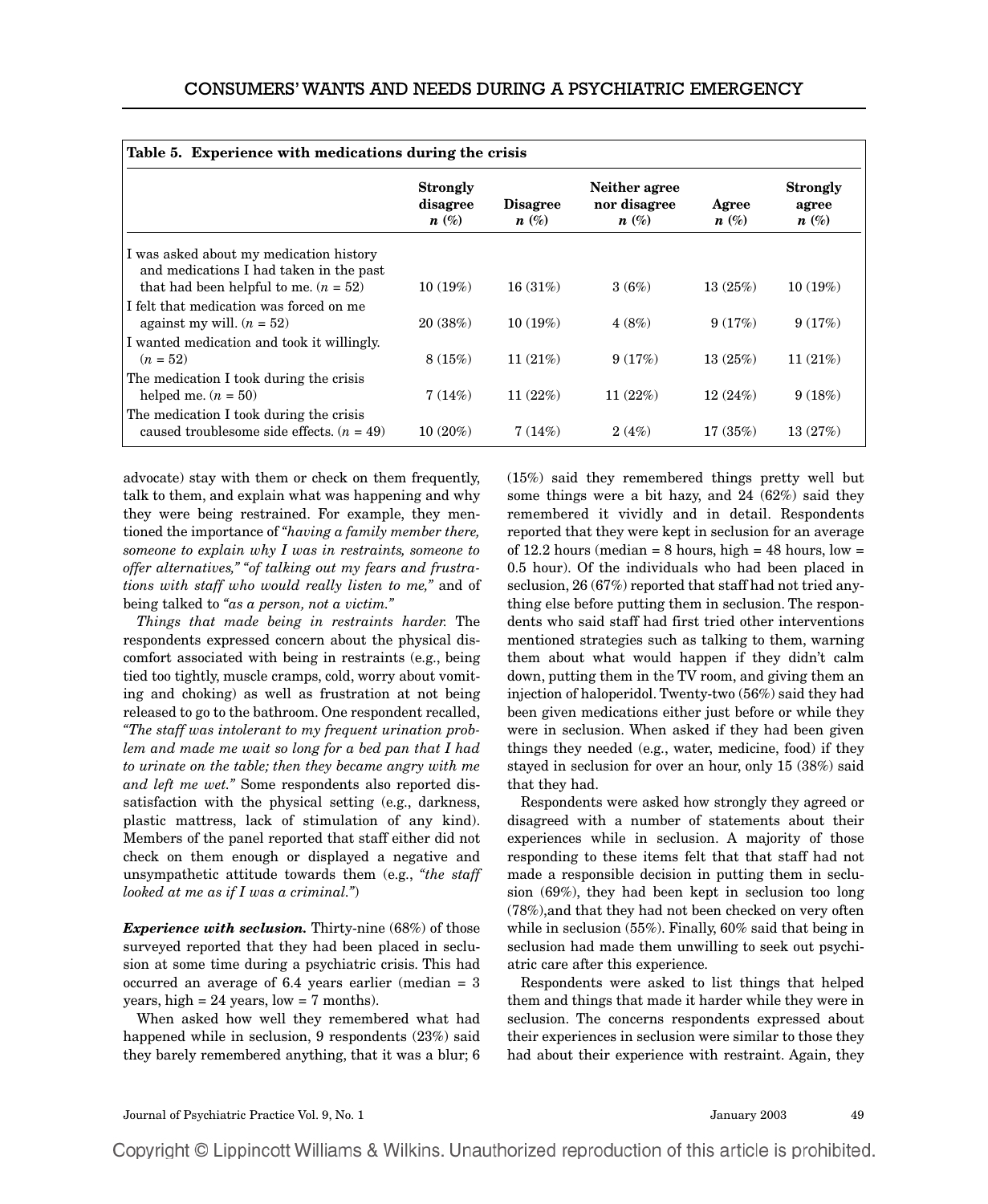| Table 5. Experience with medications during the crisis                                                                        |                                                     |                                         |                                                       |                               |                                                  |  |  |
|-------------------------------------------------------------------------------------------------------------------------------|-----------------------------------------------------|-----------------------------------------|-------------------------------------------------------|-------------------------------|--------------------------------------------------|--|--|
|                                                                                                                               | <b>Strongly</b><br>disagree<br>$\boldsymbol{n}(\%)$ | <b>Disagree</b><br>$\boldsymbol{n}(\%)$ | Neither agree<br>nor disagree<br>$\boldsymbol{n}(\%)$ | Agree<br>$\boldsymbol{n}(\%)$ | <b>Strongly</b><br>agree<br>$\boldsymbol{n}(\%)$ |  |  |
| I was asked about my medication history<br>and medications I had taken in the past<br>that had been helpful to me. $(n = 52)$ | 10(19%)                                             | 16(31%)                                 | 3(6%)                                                 | 13(25%)                       | 10(19%)                                          |  |  |
| I felt that medication was forced on me<br>against my will. $(n = 52)$                                                        | 20(38%)                                             | 10(19%)                                 | 4(8%)                                                 | 9(17%)                        | 9(17%)                                           |  |  |
| I wanted medication and took it willingly.<br>$(n = 52)$                                                                      | 8(15%)                                              | 11(21%)                                 | 9(17%)                                                | 13(25%)                       | 11(21%)                                          |  |  |
| The medication I took during the crisis<br>helped me. $(n = 50)$                                                              | 7(14%)                                              | 11(22%)                                 | 11(22%)                                               | 12(24%)                       | 9(18%)                                           |  |  |
| The medication I took during the crisis<br>caused troublesome side effects. $(n = 49)$                                        | $10(20\%)$                                          | 7(14%)                                  | 2(4%)                                                 | 17(35%)                       | 13(27%)                                          |  |  |

advocate) stay with them or check on them frequently, talk to them, and explain what was happening and why they were being restrained. For example, they mentioned the importance of *"having a family member there, someone to explain why I was in restraints, someone to offer alternatives," "of talking out my fears and frustrations with staff who would really listen to me,"* and of being talked to *"as a person, not a victim."*

*Things that made being in restraints harder.* The respondents expressed concern about the physical discomfort associated with being in restraints (e.g., being tied too tightly, muscle cramps, cold, worry about vomiting and choking) as well as frustration at not being released to go to the bathroom. One respondent recalled, *"The staff was intolerant to my frequent urination problem and made me wait so long for a bed pan that I had to urinate on the table; then they became angry with me and left me wet."* Some respondents also reported dissatisfaction with the physical setting (e.g., darkness, plastic mattress, lack of stimulation of any kind). Members of the panel reported that staff either did not check on them enough or displayed a negative and unsympathetic attitude towards them (e.g., *"the staff looked at me as if I was a criminal."*)

*Experience with seclusion.* Thirty-nine (68%) of those surveyed reported that they had been placed in seclusion at some time during a psychiatric crisis. This had occurred an average of 6.4 years earlier (median = 3 years, high  $= 24$  years, low  $= 7$  months).

When asked how well they remembered what had happened while in seclusion, 9 respondents (23%) said they barely remembered anything, that it was a blur; 6 (15%) said they remembered things pretty well but some things were a bit hazy, and 24 (62%) said they remembered it vividly and in detail. Respondents reported that they were kept in seclusion for an average of 12.2 hours (median =  $8$  hours, high =  $48$  hours, low = 0.5 hour). Of the individuals who had been placed in seclusion, 26 (67%) reported that staff had not tried anything else before putting them in seclusion. The respondents who said staff had first tried other interventions mentioned strategies such as talking to them, warning them about what would happen if they didn't calm down, putting them in the TV room, and giving them an injection of haloperidol. Twenty-two (56%) said they had been given medications either just before or while they were in seclusion. When asked if they had been given things they needed (e.g., water, medicine, food) if they stayed in seclusion for over an hour, only 15 (38%) said that they had.

Respondents were asked how strongly they agreed or disagreed with a number of statements about their experiences while in seclusion. A majority of those responding to these items felt that that staff had not made a responsible decision in putting them in seclusion (69%), they had been kept in seclusion too long (78%),and that they had not been checked on very often while in seclusion (55%). Finally, 60% said that being in seclusion had made them unwilling to seek out psychiatric care after this experience.

Respondents were asked to list things that helped them and things that made it harder while they were in seclusion. The concerns respondents expressed about their experiences in seclusion were similar to those they had about their experience with restraint. Again, they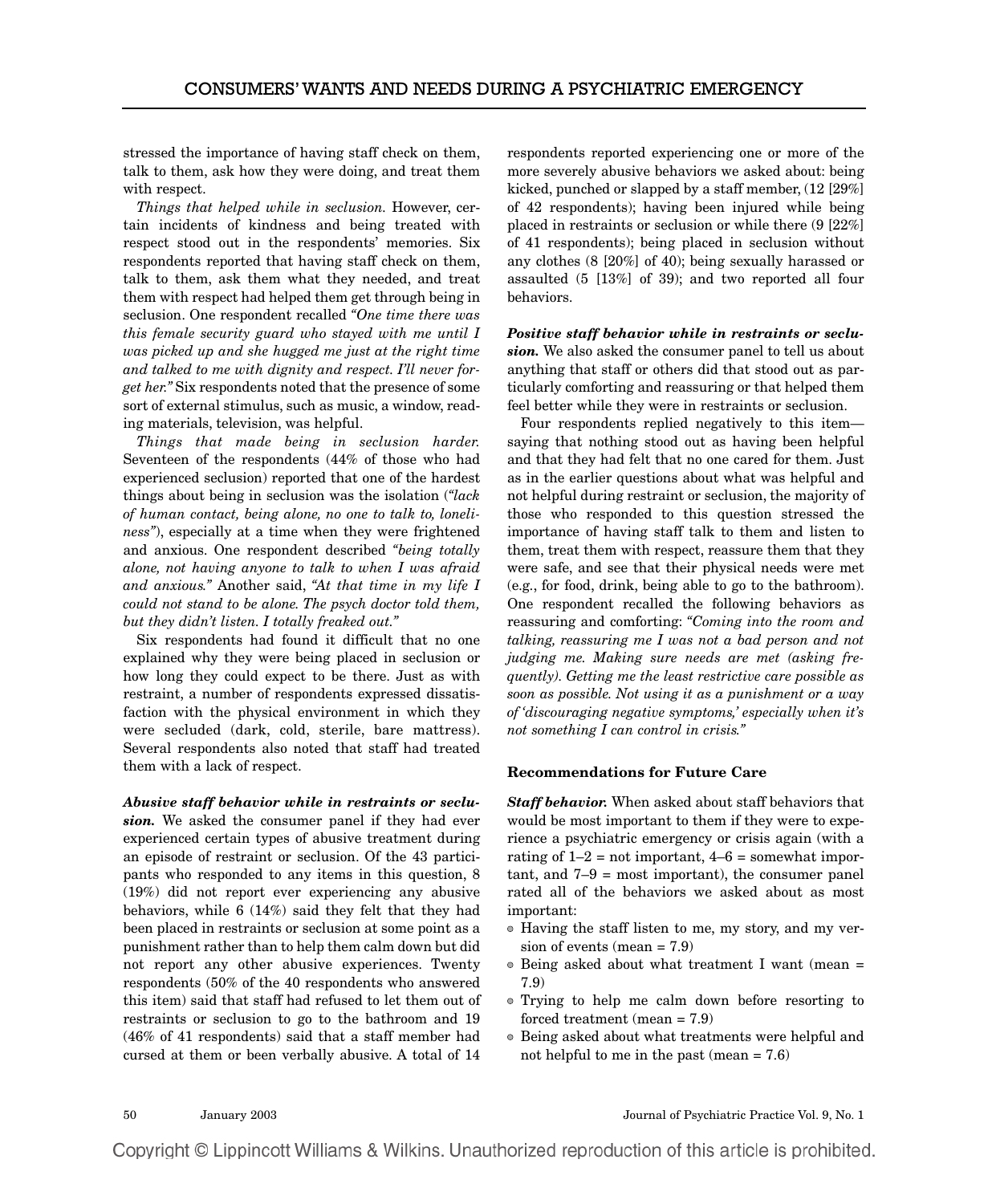stressed the importance of having staff check on them, talk to them, ask how they were doing, and treat them with respect.

*Things that helped while in seclusion.* However, certain incidents of kindness and being treated with respect stood out in the respondents' memories. Six respondents reported that having staff check on them, talk to them, ask them what they needed, and treat them with respect had helped them get through being in seclusion. One respondent recalled *"One time there was this female security guard who stayed with me until I was picked up and she hugged me just at the right time and talked to me with dignity and respect. I'll never forget her."* Six respondents noted that the presence of some sort of external stimulus, such as music, a window, reading materials, television, was helpful.

*Things that made being in seclusion harder.* Seventeen of the respondents (44% of those who had experienced seclusion) reported that one of the hardest things about being in seclusion was the isolation (*"lack of human contact, being alone, no one to talk to, loneliness"*), especially at a time when they were frightened and anxious. One respondent described *"being totally alone, not having anyone to talk to when I was afraid and anxious."* Another said, *"At that time in my life I could not stand to be alone. The psych doctor told them, but they didn't listen. I totally freaked out."*

Six respondents had found it difficult that no one explained why they were being placed in seclusion or how long they could expect to be there. Just as with restraint, a number of respondents expressed dissatisfaction with the physical environment in which they were secluded (dark, cold, sterile, bare mattress). Several respondents also noted that staff had treated them with a lack of respect.

*Abusive staff behavior while in restraints or seclusion.* We asked the consumer panel if they had ever experienced certain types of abusive treatment during an episode of restraint or seclusion. Of the 43 participants who responded to any items in this question, 8 (19%) did not report ever experiencing any abusive behaviors, while 6 (14%) said they felt that they had been placed in restraints or seclusion at some point as a punishment rather than to help them calm down but did not report any other abusive experiences. Twenty respondents (50% of the 40 respondents who answered this item) said that staff had refused to let them out of restraints or seclusion to go to the bathroom and 19 (46% of 41 respondents) said that a staff member had cursed at them or been verbally abusive. A total of 14

respondents reported experiencing one or more of the more severely abusive behaviors we asked about: being kicked, punched or slapped by a staff member, (12 [29%] of 42 respondents); having been injured while being placed in restraints or seclusion or while there (9 [22%] of 41 respondents); being placed in seclusion without any clothes (8 [20%] of 40); being sexually harassed or assaulted (5 [13%] of 39); and two reported all four behaviors.

*Positive staff behavior while in restraints or seclusion.* We also asked the consumer panel to tell us about anything that staff or others did that stood out as particularly comforting and reassuring or that helped them feel better while they were in restraints or seclusion.

Four respondents replied negatively to this item saying that nothing stood out as having been helpful and that they had felt that no one cared for them. Just as in the earlier questions about what was helpful and not helpful during restraint or seclusion, the majority of those who responded to this question stressed the importance of having staff talk to them and listen to them, treat them with respect, reassure them that they were safe, and see that their physical needs were met (e.g., for food, drink, being able to go to the bathroom). One respondent recalled the following behaviors as reassuring and comforting: *"Coming into the room and talking, reassuring me I was not a bad person and not judging me. Making sure needs are met (asking frequently). Getting me the least restrictive care possible as soon as possible. Not using it as a punishment or a way of 'discouraging negative symptoms,' especially when it's not something I can control in crisis."*

### **Recommendations for Future Care**

*Staff behavior.* When asked about staff behaviors that would be most important to them if they were to experience a psychiatric emergency or crisis again (with a rating of  $1-2$  = not important,  $4-6$  = somewhat important, and 7–9 = most important), the consumer panel rated all of the behaviors we asked about as most important:

- Having the staff listen to me, my story, and my version of events (mean = 7.9)
- $\circ$  Being asked about what treatment I want (mean = 7.9)
- Trying to help me calm down before resorting to forced treatment (mean = 7.9)
- Being asked about what treatments were helpful and not helpful to me in the past (mean = 7.6)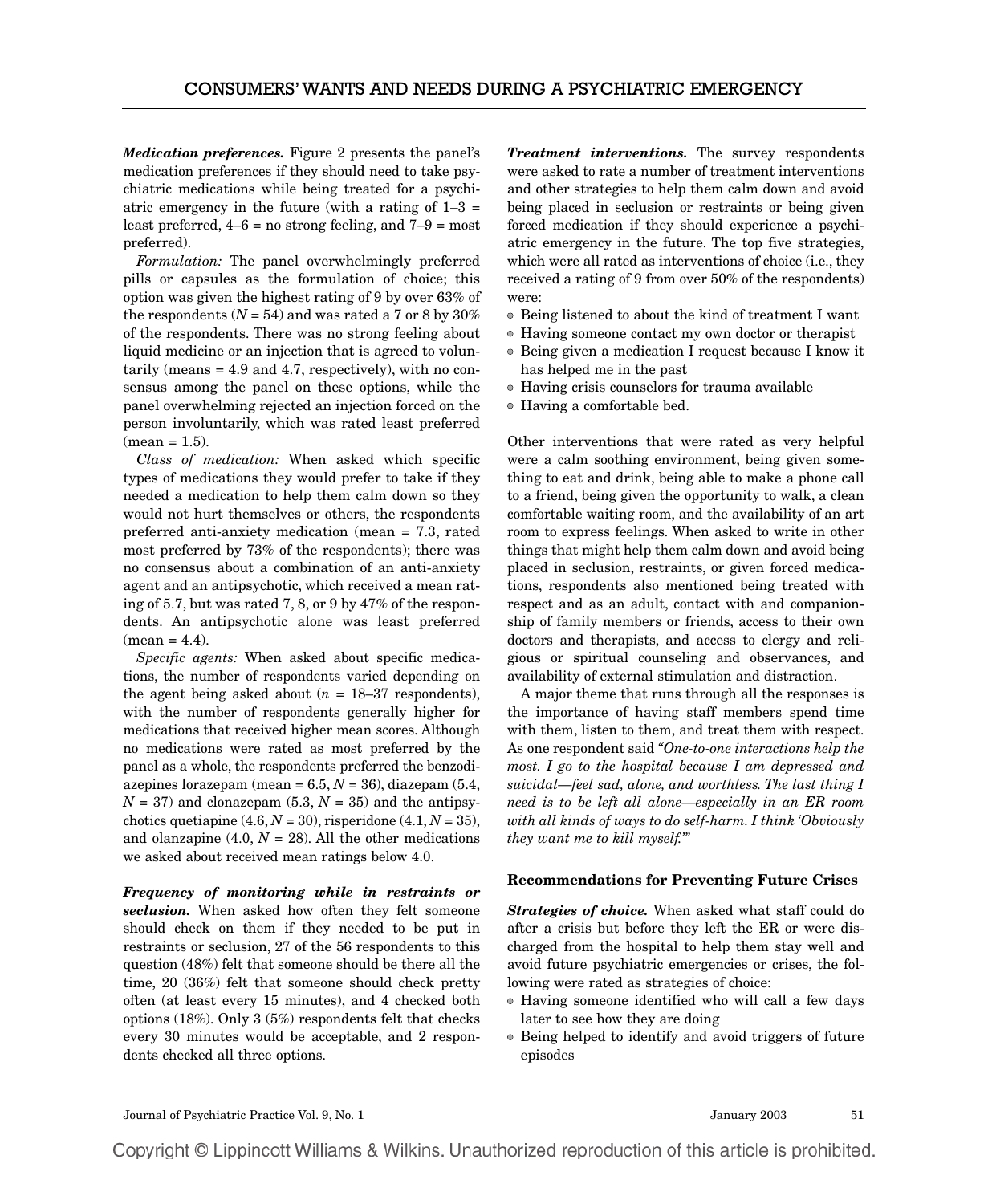*Medication preferences.* Figure 2 presents the panel's medication preferences if they should need to take psychiatric medications while being treated for a psychiatric emergency in the future (with a rating of  $1-3 =$ least preferred,  $4-6 =$  no strong feeling, and  $7-9 =$  most preferred).

*Formulation:* The panel overwhelmingly preferred pills or capsules as the formulation of choice; this option was given the highest rating of 9 by over 63% of the respondents  $(N = 54)$  and was rated a 7 or 8 by 30% of the respondents. There was no strong feeling about liquid medicine or an injection that is agreed to voluntarily (means  $= 4.9$  and  $4.7$ , respectively), with no consensus among the panel on these options, while the panel overwhelming rejected an injection forced on the person involuntarily, which was rated least preferred  $(mean = 1.5)$ .

*Class of medication:* When asked which specific types of medications they would prefer to take if they needed a medication to help them calm down so they would not hurt themselves or others, the respondents preferred anti-anxiety medication (mean = 7.3, rated most preferred by 73% of the respondents); there was no consensus about a combination of an anti-anxiety agent and an antipsychotic, which received a mean rating of 5.7, but was rated 7, 8, or 9 by 47% of the respondents. An antipsychotic alone was least preferred  $mean = 4.4$ .

*Specific agents:* When asked about specific medications, the number of respondents varied depending on the agent being asked about  $(n = 18-37$  respondents), with the number of respondents generally higher for medications that received higher mean scores. Although no medications were rated as most preferred by the panel as a whole, the respondents preferred the benzodiazepines lorazepam (mean =  $6.5, N = 36$ ), diazepam (5.4,  $N = 37$  and clonazepam  $(5.3, N = 35)$  and the antipsychotics quetiapine  $(4.6, N = 30)$ , risperidone  $(4.1, N = 35)$ , and olanzapine  $(4.0, N = 28)$ . All the other medications we asked about received mean ratings below 4.0.

*Frequency of monitoring while in restraints or seclusion.* When asked how often they felt someone should check on them if they needed to be put in restraints or seclusion, 27 of the 56 respondents to this question (48%) felt that someone should be there all the time, 20 (36%) felt that someone should check pretty often (at least every 15 minutes), and 4 checked both options (18%). Only 3 (5%) respondents felt that checks every 30 minutes would be acceptable, and 2 respondents checked all three options.

*Treatment interventions.* The survey respondents were asked to rate a number of treatment interventions and other strategies to help them calm down and avoid being placed in seclusion or restraints or being given forced medication if they should experience a psychiatric emergency in the future. The top five strategies, which were all rated as interventions of choice (i.e., they received a rating of 9 from over 50% of the respondents) were:

- Being listened to about the kind of treatment I want
- Having someone contact my own doctor or therapist
- Being given a medication I request because I know it has helped me in the past
- Having crisis counselors for trauma available
- Having a comfortable bed.

Other interventions that were rated as very helpful were a calm soothing environment, being given something to eat and drink, being able to make a phone call to a friend, being given the opportunity to walk, a clean comfortable waiting room, and the availability of an art room to express feelings. When asked to write in other things that might help them calm down and avoid being placed in seclusion, restraints, or given forced medications, respondents also mentioned being treated with respect and as an adult, contact with and companionship of family members or friends, access to their own doctors and therapists, and access to clergy and religious or spiritual counseling and observances, and availability of external stimulation and distraction.

A major theme that runs through all the responses is the importance of having staff members spend time with them, listen to them, and treat them with respect. As one respondent said *"One-to-one interactions help the most. I go to the hospital because I am depressed and suicidal—feel sad, alone, and worthless. The last thing I need is to be left all alone—especially in an ER room with all kinds of ways to do self-harm. I think 'Obviously they want me to kill myself.'"*

### **Recommendations for Preventing Future Crises**

*Strategies of choice.* When asked what staff could do after a crisis but before they left the ER or were discharged from the hospital to help them stay well and avoid future psychiatric emergencies or crises, the following were rated as strategies of choice:

- Having someone identified who will call a few days later to see how they are doing
- Being helped to identify and avoid triggers of future episodes

Journal of Psychiatric Practice Vol. 9, No. 1 51 September 2003 51 September 2003 51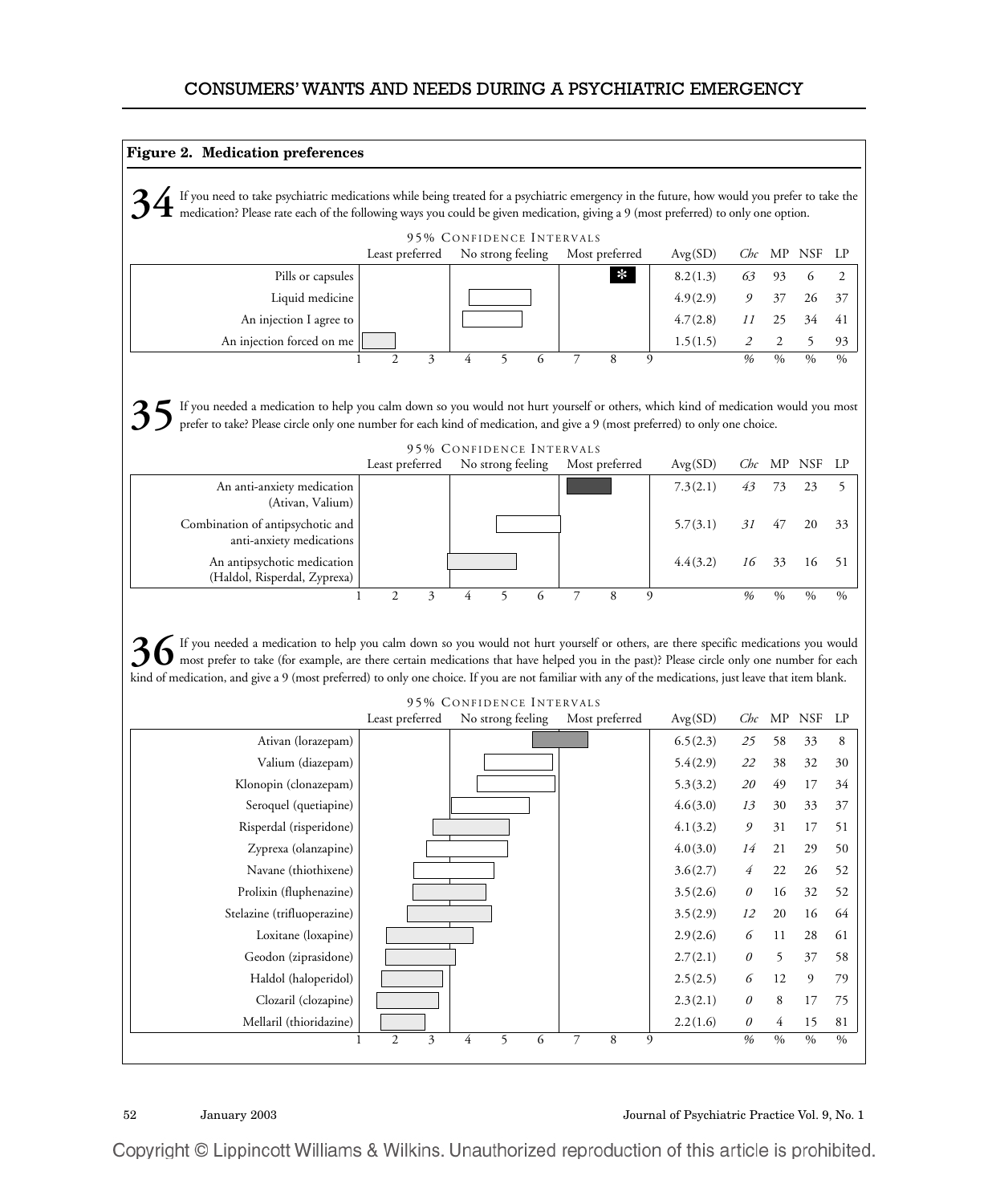### CONSUMERS'WANTS AND NEEDS DURING A PSYCHIATRIC EMERGENCY



### 52 January 2003 Journal of Psychiatric Practice Vol. 9, No. 1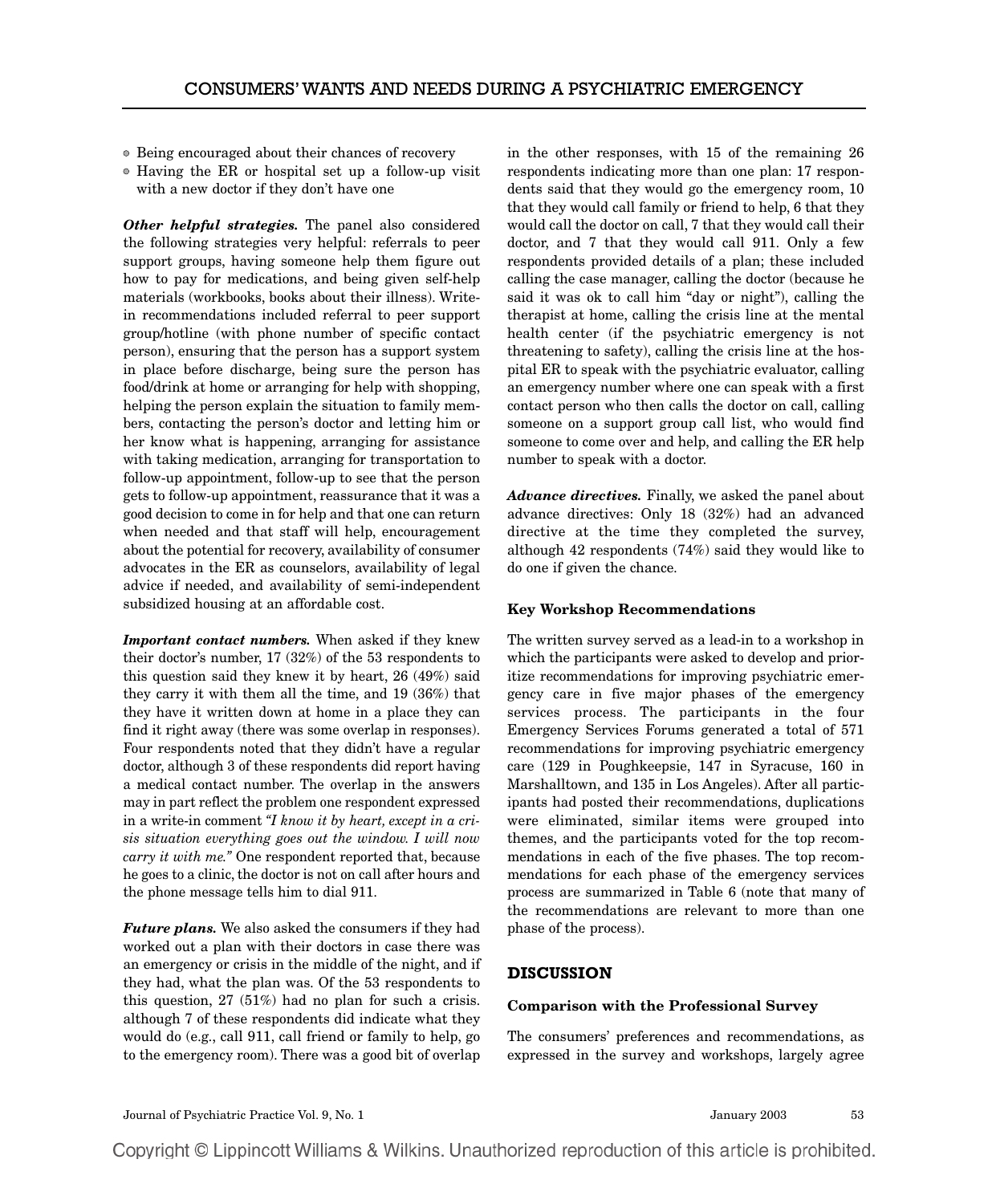- Being encouraged about their chances of recovery
- Having the ER or hospital set up a follow-up visit with a new doctor if they don't have one

*Other helpful strategies.* The panel also considered the following strategies very helpful: referrals to peer support groups, having someone help them figure out how to pay for medications, and being given self-help materials (workbooks, books about their illness). Writein recommendations included referral to peer support group/hotline (with phone number of specific contact person), ensuring that the person has a support system in place before discharge, being sure the person has food/drink at home or arranging for help with shopping, helping the person explain the situation to family members, contacting the person's doctor and letting him or her know what is happening, arranging for assistance with taking medication, arranging for transportation to follow-up appointment, follow-up to see that the person gets to follow-up appointment, reassurance that it was a good decision to come in for help and that one can return when needed and that staff will help, encouragement about the potential for recovery, availability of consumer advocates in the ER as counselors, availability of legal advice if needed, and availability of semi-independent subsidized housing at an affordable cost.

*Important contact numbers.* When asked if they knew their doctor's number, 17 (32%) of the 53 respondents to this question said they knew it by heart, 26 (49%) said they carry it with them all the time, and 19 (36%) that they have it written down at home in a place they can find it right away (there was some overlap in responses). Four respondents noted that they didn't have a regular doctor, although 3 of these respondents did report having a medical contact number. The overlap in the answers may in part reflect the problem one respondent expressed in a write-in comment *"I know it by heart, except in a crisis situation everything goes out the window. I will now carry it with me."* One respondent reported that, because he goes to a clinic, the doctor is not on call after hours and the phone message tells him to dial 911.

*Future plans.* We also asked the consumers if they had worked out a plan with their doctors in case there was an emergency or crisis in the middle of the night, and if they had, what the plan was. Of the 53 respondents to this question, 27 (51%) had no plan for such a crisis. although 7 of these respondents did indicate what they would do (e.g., call 911, call friend or family to help, go to the emergency room). There was a good bit of overlap

in the other responses, with 15 of the remaining 26 respondents indicating more than one plan: 17 respondents said that they would go the emergency room, 10 that they would call family or friend to help, 6 that they would call the doctor on call, 7 that they would call their doctor, and 7 that they would call 911. Only a few respondents provided details of a plan; these included calling the case manager, calling the doctor (because he said it was ok to call him "day or night"), calling the therapist at home, calling the crisis line at the mental health center (if the psychiatric emergency is not threatening to safety), calling the crisis line at the hospital ER to speak with the psychiatric evaluator, calling an emergency number where one can speak with a first contact person who then calls the doctor on call, calling someone on a support group call list, who would find someone to come over and help, and calling the ER help number to speak with a doctor.

*Advance directives.* Finally, we asked the panel about advance directives: Only 18 (32%) had an advanced directive at the time they completed the survey, although 42 respondents (74%) said they would like to do one if given the chance.

### **Key Workshop Recommendations**

The written survey served as a lead-in to a workshop in which the participants were asked to develop and prioritize recommendations for improving psychiatric emergency care in five major phases of the emergency services process. The participants in the four Emergency Services Forums generated a total of 571 recommendations for improving psychiatric emergency care (129 in Poughkeepsie, 147 in Syracuse, 160 in Marshalltown, and 135 in Los Angeles). After all participants had posted their recommendations, duplications were eliminated, similar items were grouped into themes, and the participants voted for the top recommendations in each of the five phases. The top recommendations for each phase of the emergency services process are summarized in Table 6 (note that many of the recommendations are relevant to more than one phase of the process).

### **DISCUSSION**

### **Comparison with the Professional Survey**

The consumers' preferences and recommendations, as expressed in the survey and workshops, largely agree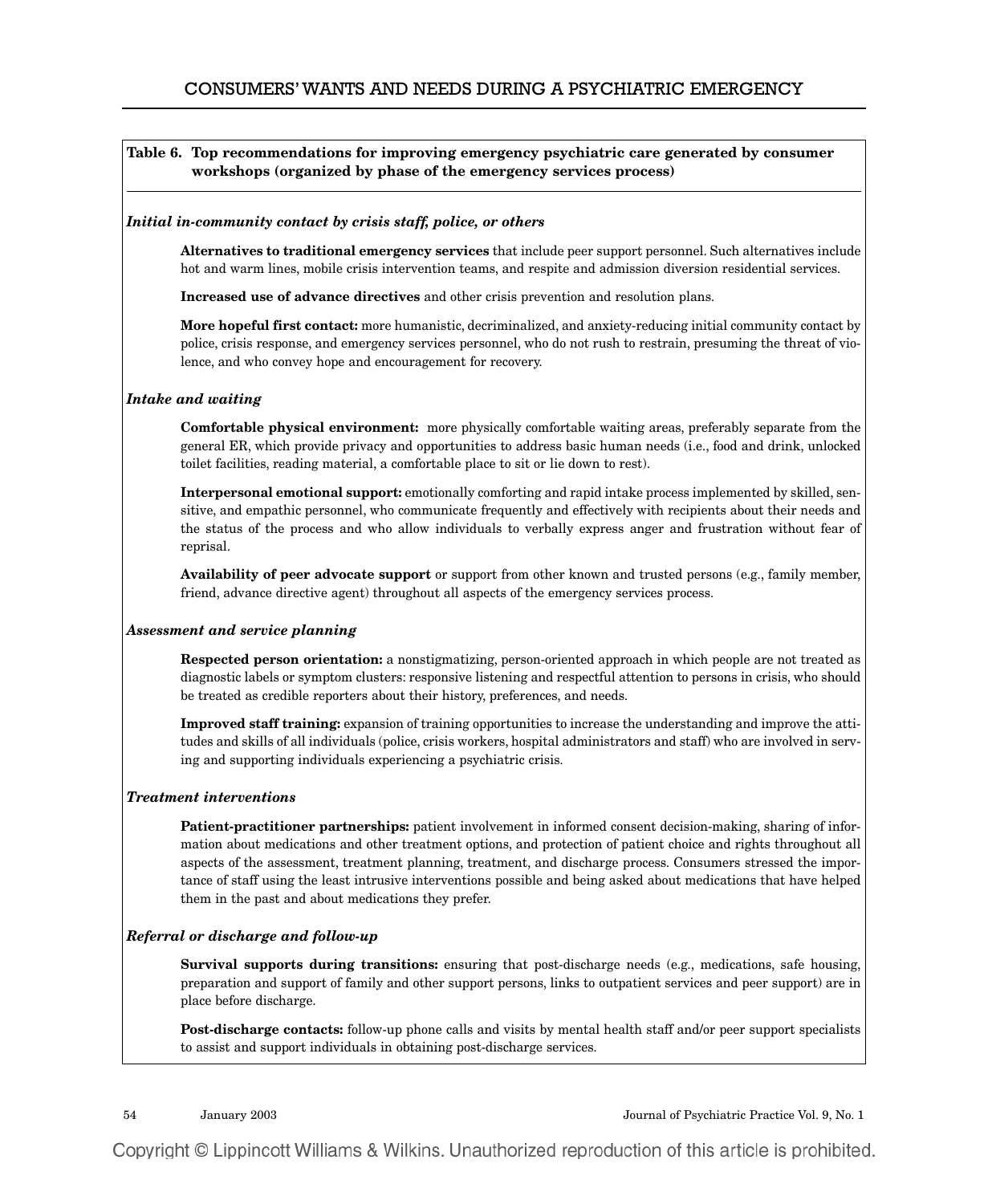### **Table 6. Top recommendations for improving emergency psychiatric care generated by consumer workshops (organized by phase of the emergency services process)**

### *Initial in-community contact by crisis staff, police, or others*

**Alternatives to traditional emergency services** that include peer support personnel. Such alternatives include hot and warm lines, mobile crisis intervention teams, and respite and admission diversion residential services.

**Increased use of advance directives** and other crisis prevention and resolution plans.

**More hopeful first contact:** more humanistic, decriminalized, and anxiety-reducing initial community contact by police, crisis response, and emergency services personnel, who do not rush to restrain, presuming the threat of violence, and who convey hope and encouragement for recovery.

### *Intake and waiting*

**Comfortable physical environment:** more physically comfortable waiting areas, preferably separate from the general ER, which provide privacy and opportunities to address basic human needs (i.e., food and drink, unlocked toilet facilities, reading material, a comfortable place to sit or lie down to rest).

**Interpersonal emotional support:** emotionally comforting and rapid intake process implemented by skilled, sensitive, and empathic personnel, who communicate frequently and effectively with recipients about their needs and the status of the process and who allow individuals to verbally express anger and frustration without fear of reprisal.

**Availability of peer advocate support** or support from other known and trusted persons (e.g., family member, friend, advance directive agent) throughout all aspects of the emergency services process.

### *Assessment and service planning*

**Respected person orientation:** a nonstigmatizing, person-oriented approach in which people are not treated as diagnostic labels or symptom clusters: responsive listening and respectful attention to persons in crisis, who should be treated as credible reporters about their history, preferences, and needs.

**Improved staff training:** expansion of training opportunities to increase the understanding and improve the attitudes and skills of all individuals (police, crisis workers, hospital administrators and staff) who are involved in serving and supporting individuals experiencing a psychiatric crisis.

### *Treatment interventions*

**Patient-practitioner partnerships:** patient involvement in informed consent decision-making, sharing of information about medications and other treatment options, and protection of patient choice and rights throughout all aspects of the assessment, treatment planning, treatment, and discharge process. Consumers stressed the importance of staff using the least intrusive interventions possible and being asked about medications that have helped them in the past and about medications they prefer.

### *Referral or discharge and follow-up*

**Survival supports during transitions:** ensuring that post-discharge needs (e.g., medications, safe housing, preparation and support of family and other support persons, links to outpatient services and peer support) are in place before discharge.

**Post-discharge contacts:** follow-up phone calls and visits by mental health staff and/or peer support specialists to assist and support individuals in obtaining post-discharge services.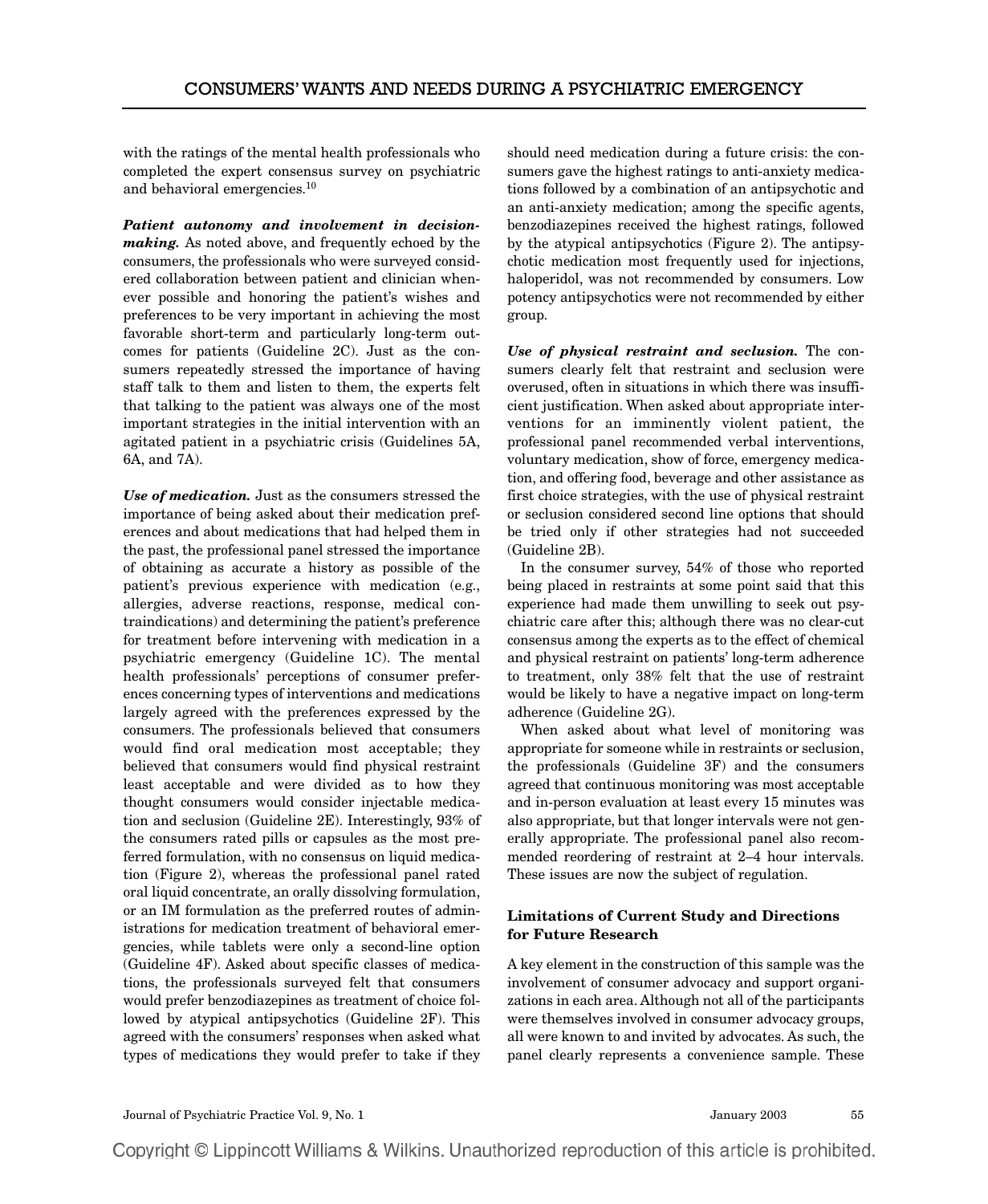with the ratings of the mental health professionals who completed the expert consensus survey on psychiatric and behavioral emergencies.10

*Patient autonomy and involvement in decisionmaking.* As noted above, and frequently echoed by the consumers, the professionals who were surveyed considered collaboration between patient and clinician whenever possible and honoring the patient's wishes and preferences to be very important in achieving the most favorable short-term and particularly long-term outcomes for patients (Guideline 2C). Just as the consumers repeatedly stressed the importance of having staff talk to them and listen to them, the experts felt that talking to the patient was always one of the most important strategies in the initial intervention with an agitated patient in a psychiatric crisis (Guidelines 5A, 6A, and 7A).

*Use of medication.* Just as the consumers stressed the importance of being asked about their medication preferences and about medications that had helped them in the past, the professional panel stressed the importance of obtaining as accurate a history as possible of the patient's previous experience with medication (e.g., allergies, adverse reactions, response, medical contraindications) and determining the patient's preference for treatment before intervening with medication in a psychiatric emergency (Guideline 1C). The mental health professionals' perceptions of consumer preferences concerning types of interventions and medications largely agreed with the preferences expressed by the consumers. The professionals believed that consumers would find oral medication most acceptable; they believed that consumers would find physical restraint least acceptable and were divided as to how they thought consumers would consider injectable medication and seclusion (Guideline 2E). Interestingly, 93% of the consumers rated pills or capsules as the most preferred formulation, with no consensus on liquid medication (Figure 2), whereas the professional panel rated oral liquid concentrate, an orally dissolving formulation, or an IM formulation as the preferred routes of administrations for medication treatment of behavioral emergencies, while tablets were only a second-line option (Guideline 4F). Asked about specific classes of medications, the professionals surveyed felt that consumers would prefer benzodiazepines as treatment of choice followed by atypical antipsychotics (Guideline 2F). This agreed with the consumers' responses when asked what types of medications they would prefer to take if they

should need medication during a future crisis: the consumers gave the highest ratings to anti-anxiety medications followed by a combination of an antipsychotic and an anti-anxiety medication; among the specific agents, benzodiazepines received the highest ratings, followed by the atypical antipsychotics (Figure 2). The antipsychotic medication most frequently used for injections, haloperidol, was not recommended by consumers. Low potency antipsychotics were not recommended by either group.

*Use of physical restraint and seclusion.* The consumers clearly felt that restraint and seclusion were overused, often in situations in which there was insufficient justification. When asked about appropriate interventions for an imminently violent patient, the professional panel recommended verbal interventions, voluntary medication, show of force, emergency medication, and offering food, beverage and other assistance as first choice strategies, with the use of physical restraint or seclusion considered second line options that should be tried only if other strategies had not succeeded (Guideline 2B).

In the consumer survey, 54% of those who reported being placed in restraints at some point said that this experience had made them unwilling to seek out psychiatric care after this; although there was no clear-cut consensus among the experts as to the effect of chemical and physical restraint on patients' long-term adherence to treatment, only 38% felt that the use of restraint would be likely to have a negative impact on long-term adherence (Guideline 2G).

When asked about what level of monitoring was appropriate for someone while in restraints or seclusion, the professionals (Guideline 3F) and the consumers agreed that continuous monitoring was most acceptable and in-person evaluation at least every 15 minutes was also appropriate, but that longer intervals were not generally appropriate. The professional panel also recommended reordering of restraint at 2–4 hour intervals. These issues are now the subject of regulation.

### **Limitations of Current Study and Directions for Future Research**

A key element in the construction of this sample was the involvement of consumer advocacy and support organizations in each area. Although not all of the participants were themselves involved in consumer advocacy groups, all were known to and invited by advocates. As such, the panel clearly represents a convenience sample. These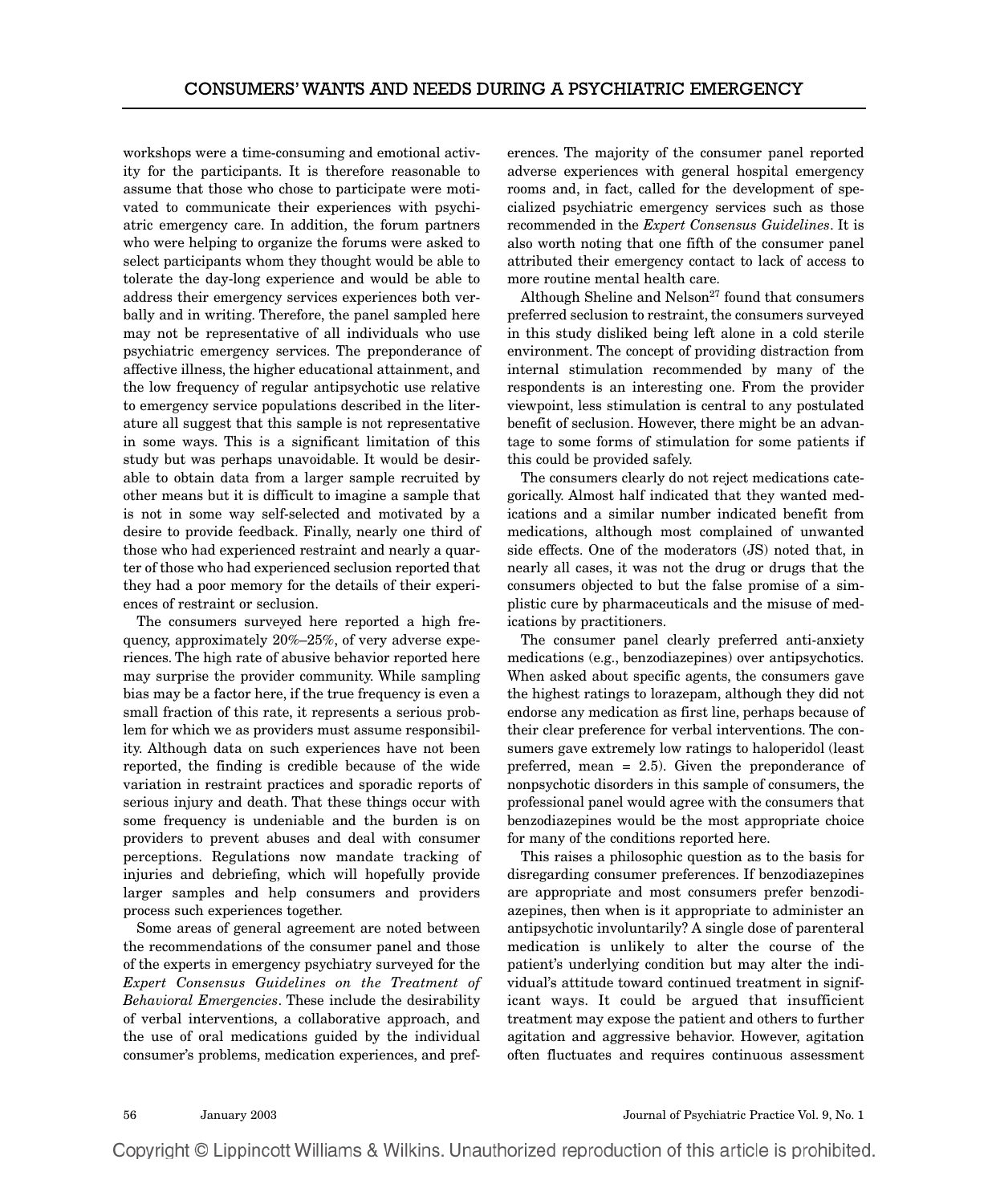workshops were a time-consuming and emotional activity for the participants. It is therefore reasonable to assume that those who chose to participate were motivated to communicate their experiences with psychiatric emergency care. In addition, the forum partners who were helping to organize the forums were asked to select participants whom they thought would be able to tolerate the day-long experience and would be able to address their emergency services experiences both verbally and in writing. Therefore, the panel sampled here may not be representative of all individuals who use psychiatric emergency services. The preponderance of affective illness, the higher educational attainment, and the low frequency of regular antipsychotic use relative to emergency service populations described in the literature all suggest that this sample is not representative in some ways. This is a significant limitation of this study but was perhaps unavoidable. It would be desirable to obtain data from a larger sample recruited by other means but it is difficult to imagine a sample that is not in some way self-selected and motivated by a desire to provide feedback. Finally, nearly one third of those who had experienced restraint and nearly a quarter of those who had experienced seclusion reported that they had a poor memory for the details of their experiences of restraint or seclusion.

The consumers surveyed here reported a high frequency, approximately 20%–25%, of very adverse experiences. The high rate of abusive behavior reported here may surprise the provider community. While sampling bias may be a factor here, if the true frequency is even a small fraction of this rate, it represents a serious problem for which we as providers must assume responsibility. Although data on such experiences have not been reported, the finding is credible because of the wide variation in restraint practices and sporadic reports of serious injury and death. That these things occur with some frequency is undeniable and the burden is on providers to prevent abuses and deal with consumer perceptions. Regulations now mandate tracking of injuries and debriefing, which will hopefully provide larger samples and help consumers and providers process such experiences together.

Some areas of general agreement are noted between the recommendations of the consumer panel and those of the experts in emergency psychiatry surveyed for the *Expert Consensus Guidelines on the Treatment of Behavioral Emergencies*. These include the desirability of verbal interventions, a collaborative approach, and the use of oral medications guided by the individual consumer's problems, medication experiences, and preferences. The majority of the consumer panel reported adverse experiences with general hospital emergency rooms and, in fact, called for the development of specialized psychiatric emergency services such as those recommended in the *Expert Consensus Guidelines*. It is also worth noting that one fifth of the consumer panel attributed their emergency contact to lack of access to more routine mental health care.

Although Sheline and Nelson<sup>27</sup> found that consumers preferred seclusion to restraint, the consumers surveyed in this study disliked being left alone in a cold sterile environment. The concept of providing distraction from internal stimulation recommended by many of the respondents is an interesting one. From the provider viewpoint, less stimulation is central to any postulated benefit of seclusion. However, there might be an advantage to some forms of stimulation for some patients if this could be provided safely.

The consumers clearly do not reject medications categorically. Almost half indicated that they wanted medications and a similar number indicated benefit from medications, although most complained of unwanted side effects. One of the moderators (JS) noted that, in nearly all cases, it was not the drug or drugs that the consumers objected to but the false promise of a simplistic cure by pharmaceuticals and the misuse of medications by practitioners.

The consumer panel clearly preferred anti-anxiety medications (e.g., benzodiazepines) over antipsychotics. When asked about specific agents, the consumers gave the highest ratings to lorazepam, although they did not endorse any medication as first line, perhaps because of their clear preference for verbal interventions. The consumers gave extremely low ratings to haloperidol (least preferred, mean = 2.5). Given the preponderance of nonpsychotic disorders in this sample of consumers, the professional panel would agree with the consumers that benzodiazepines would be the most appropriate choice for many of the conditions reported here.

This raises a philosophic question as to the basis for disregarding consumer preferences. If benzodiazepines are appropriate and most consumers prefer benzodiazepines, then when is it appropriate to administer an antipsychotic involuntarily? A single dose of parenteral medication is unlikely to alter the course of the patient's underlying condition but may alter the individual's attitude toward continued treatment in significant ways. It could be argued that insufficient treatment may expose the patient and others to further agitation and aggressive behavior. However, agitation often fluctuates and requires continuous assessment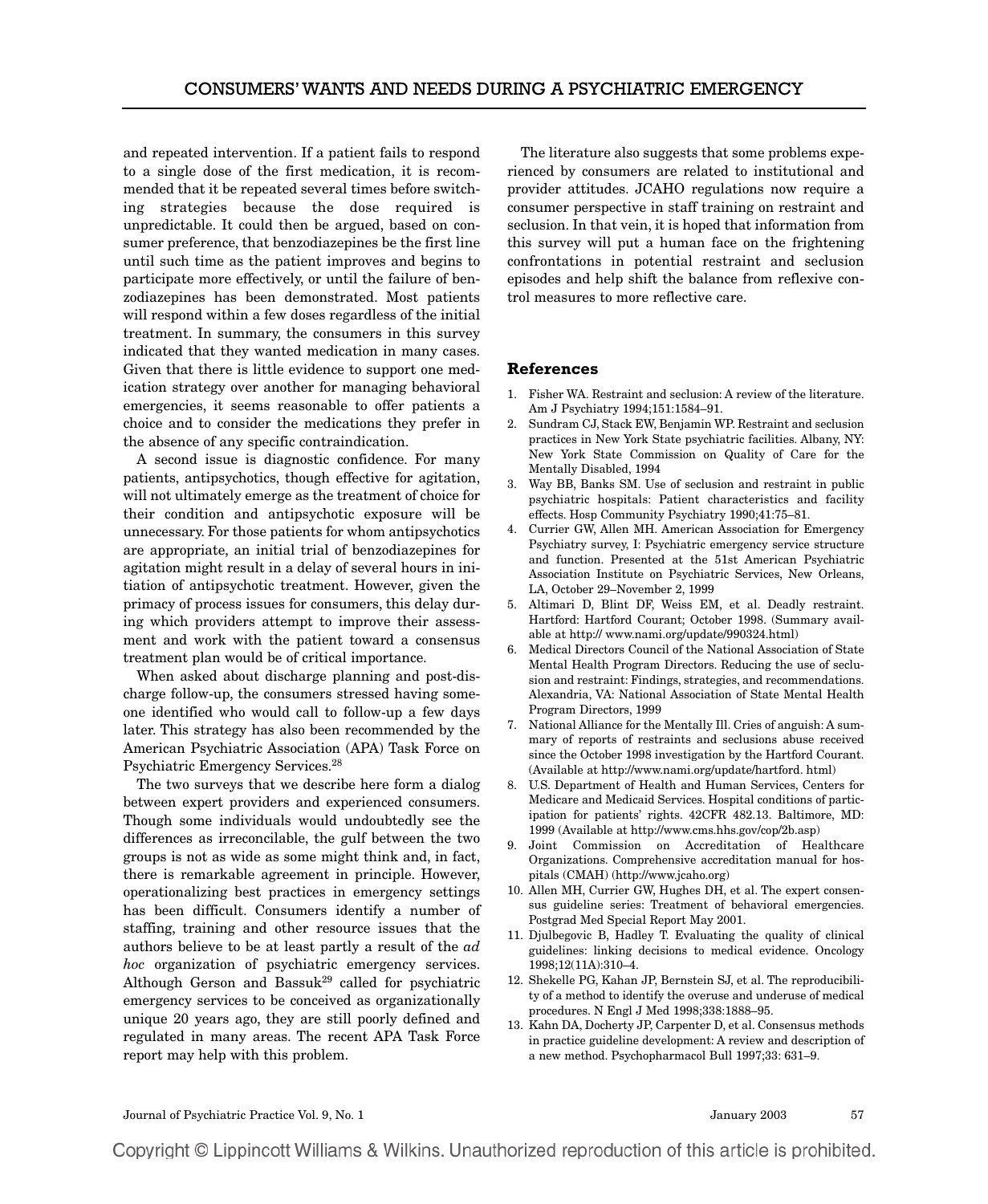and repeated intervention. If a patient fails to respond to a single dose of the first medication, it is recommended that it be repeated several times before switching strategies because the dose required is unpredictable. It could then be argued, based on consumer preference, that benzodiazepines be the first line until such time as the patient improves and begins to participate more effectively, or until the failure of benzodiazepines has been demonstrated. Most patients will respond within a few doses regardless of the initial treatment. In summary, the consumers in this survey indicated that they wanted medication in many cases. Given that there is little evidence to support one medication strategy over another for managing behavioral emergencies, it seems reasonable to offer patients a choice and to consider the medications they prefer in the absence of any specific contraindication.

A second issue is diagnostic confidence. For many patients, antipsychotics, though effective for agitation, will not ultimately emerge as the treatment of choice for their condition and antipsychotic exposure will be unnecessary. For those patients for whom antipsychotics are appropriate, an initial trial of benzodiazepines for agitation might result in a delay of several hours in initiation of antipsychotic treatment. However, given the primacy of process issues for consumers, this delay during which providers attempt to improve their assessment and work with the patient toward a consensus treatment plan would be of critical importance.

When asked about discharge planning and post-discharge follow-up, the consumers stressed having someone identified who would call to follow-up a few days later. This strategy has also been recommended by the American Psychiatric Association (APA) Task Force on Psychiatric Emergency Services.28

The two surveys that we describe here form a dialog between expert providers and experienced consumers. Though some individuals would undoubtedly see the differences as irreconcilable, the gulf between the two groups is not as wide as some might think and, in fact, there is remarkable agreement in principle. However, operationalizing best practices in emergency settings has been difficult. Consumers identify a number of staffing, training and other resource issues that the authors believe to be at least partly a result of the *ad hoc* organization of psychiatric emergency services. Although Gerson and Bassuk<sup>29</sup> called for psychiatric emergency services to be conceived as organizationally unique 20 years ago, they are still poorly defined and regulated in many areas. The recent APA Task Force report may help with this problem.

The literature also suggests that some problems experienced by consumers are related to institutional and provider attitudes. JCAHO regulations now require a consumer perspective in staff training on restraint and seclusion. In that vein, it is hoped that information from this survey will put a human face on the frightening confrontations in potential restraint and seclusion episodes and help shift the balance from reflexive control measures to more reflective care.

### **References**

- 1. Fisher WA. Restraint and seclusion: A review of the literature. Am J Psychiatry 1994;151:1584–91.
- 2. Sundram CJ, Stack EW, Benjamin WP. Restraint and seclusion practices in New York State psychiatric facilities. Albany, NY: New York State Commission on Quality of Care for the Mentally Disabled, 1994
- 3. Way BB, Banks SM. Use of seclusion and restraint in public psychiatric hospitals: Patient characteristics and facility effects. Hosp Community Psychiatry 1990;41:75–81.
- 4. Currier GW, Allen MH. American Association for Emergency Psychiatry survey, I: Psychiatric emergency service structure and function. Presented at the 51st American Psychiatric Association Institute on Psychiatric Services, New Orleans, LA, October 29–November 2, 1999
- 5. Altimari D, Blint DF, Weiss EM, et al. Deadly restraint. Hartford: Hartford Courant; October 1998. (Summary available at http:// www.nami.org/update/990324.html)
- 6. Medical Directors Council of the National Association of State Mental Health Program Directors. Reducing the use of seclusion and restraint: Findings, strategies, and recommendations. Alexandria, VA: National Association of State Mental Health Program Directors, 1999
- 7. National Alliance for the Mentally Ill. Cries of anguish: A summary of reports of restraints and seclusions abuse received since the October 1998 investigation by the Hartford Courant. (Available at http://www.nami.org/update/hartford. html)
- 8. U.S. Department of Health and Human Services, Centers for Medicare and Medicaid Services. Hospital conditions of participation for patients' rights. 42CFR 482.13. Baltimore, MD: 1999 (Available at http://www.cms.hhs.gov/cop/2b.asp)
- 9. Joint Commission on Accreditation of Healthcare Organizations. Comprehensive accreditation manual for hospitals (CMAH) (http://www.jcaho.org)
- 10. Allen MH, Currier GW, Hughes DH, et al. The expert consensus guideline series: Treatment of behavioral emergencies. Postgrad Med Special Report May 2001.
- 11. Djulbegovic B, Hadley T. Evaluating the quality of clinical guidelines: linking decisions to medical evidence. Oncology 1998;12(11A):310–4.
- 12. Shekelle PG, Kahan JP, Bernstein SJ, et al. The reproducibility of a method to identify the overuse and underuse of medical procedures. N Engl J Med 1998;338:1888–95.
- 13. Kahn DA, Docherty JP, Carpenter D, et al. Consensus methods in practice guideline development: A review and description of a new method. Psychopharmacol Bull 1997;33: 631–9.

Journal of Psychiatric Practice Vol. 9, No. 1 January 2003 57